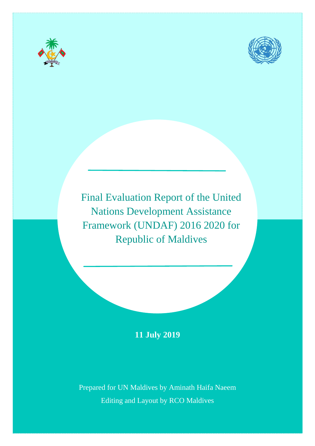



Final Evaluation Report of the United Nations Development Assistance Framework (UNDAF) 2016 2020 for Republic of Maldives

# **11 July 2019**

Prepared for UN Maldives by Aminath Haifa Naeem Editing and Layout by RCO Maldives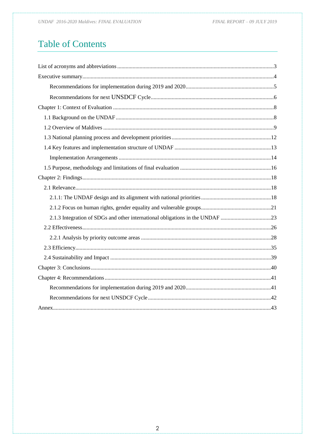UNDAF 2016-2020 Maldives: FINAL EVALUATION

# **Table of Contents**

| 2.1.3 Integration of SDGs and other international obligations in the UNDAF 23 |  |
|-------------------------------------------------------------------------------|--|
|                                                                               |  |
|                                                                               |  |
|                                                                               |  |
|                                                                               |  |
|                                                                               |  |
|                                                                               |  |
|                                                                               |  |
|                                                                               |  |
|                                                                               |  |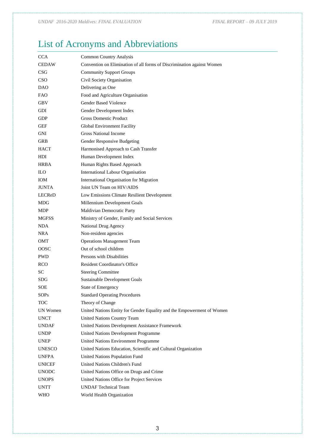# <span id="page-2-0"></span>List of Acronyms and Abbreviations

| <b>CCA</b>    | <b>Common Country Analysis</b>                                         |
|---------------|------------------------------------------------------------------------|
| <b>CEDAW</b>  | Convention on Elimination of all forms of Discrimination against Women |
| <b>CSG</b>    | <b>Community Support Groups</b>                                        |
| CSO           | Civil Society Organisation                                             |
| DAO           | Delivering as One                                                      |
| <b>FAO</b>    | Food and Agriculture Organisation                                      |
| $\mbox{GBV}$  | <b>Gender Based Violence</b>                                           |
| GDI           | Gender Development Index                                               |
| GDP           | <b>Gross Domestic Product</b>                                          |
| GEF           | <b>Global Environment Facility</b>                                     |
| GNI           | <b>Gross National Income</b>                                           |
| GRB           | Gender Responsive Budgeting                                            |
| <b>HACT</b>   | Harmonised Approach to Cash Transfer                                   |
| HDI           | Human Development Index                                                |
| <b>HRBA</b>   | Human Rights Based Approach                                            |
| <b>ILO</b>    | International Labour Organisation                                      |
| <b>IOM</b>    | International Organisation for Migration                               |
| <b>JUNTA</b>  | Joint UN Team on HIV/AIDS                                              |
| <b>LECReD</b> | Low Emissions Climate Resilient Development                            |
| MDG           | Millennium Development Goals                                           |
| MDP           | Maldivian Democratic Party                                             |
| MGFSS         | Ministry of Gender, Family and Social Services                         |
| NDA           | National Drug Agency                                                   |
| NRA           | Non-resident agencies                                                  |
| OMT           | <b>Operations Management Team</b>                                      |
| OOSC          | Out of school children                                                 |
| PWD           | Persons with Disabilities                                              |
| <b>RCO</b>    | <b>Resident Coordinator's Office</b>                                   |
| <b>SC</b>     | <b>Steering Committee</b>                                              |
| SDG           | Sustainable Development Goals                                          |
| SOE           | State of Emergency                                                     |
| SOPs          | <b>Standard Operating Procedures</b>                                   |
| <b>TOC</b>    | Theory of Change                                                       |
| UN Women      | United Nations Entity for Gender Equality and the Empowerment of Women |
| <b>UNCT</b>   | United Nations Country Team                                            |
| UNDAF         | United Nations Development Assistance Framework                        |
| <b>UNDP</b>   | United Nations Development Programme                                   |
| <b>UNEP</b>   | United Nations Environment Programme                                   |
| <b>UNESCO</b> | United Nations Education, Scientific and Cultural Organization         |
| <b>UNFPA</b>  | United Nations Population Fund                                         |
| <b>UNICEF</b> | United Nations Children's Fund                                         |
| <b>UNODC</b>  | United Nations Office on Drugs and Crime                               |
| <b>UNOPS</b>  | United Nations Office for Project Services                             |
| <b>UNTT</b>   | <b>UNDAF</b> Technical Team                                            |
| WHO           | World Health Organization                                              |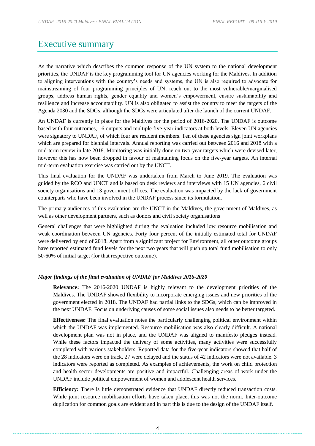# <span id="page-3-0"></span>Executive summary

As the narrative which describes the common response of the UN system to the national development priorities, the UNDAF is the key programming tool for UN agencies working for the Maldives. In addition to aligning interventions with the country's needs and systems, the UN is also required to advocate for mainstreaming of four programming principles of UN; reach out to the most vulnerable/marginalised groups, address human rights, gender equality and women's empowerment, ensure sustainability and resilience and increase accountability. UN is also obligated to assist the country to meet the targets of the Agenda 2030 and the SDGs, although the SDGs were articulated after the launch of the current UNDAF.

An UNDAF is currently in place for the Maldives for the period of 2016-2020. The UNDAF is outcome based with four outcomes, 16 outputs and multiple five-year indicators at both levels. Eleven UN agencies were signatory to UNDAF, of which four are resident members. Ten of these agencies sign joint workplans which are prepared for biennial intervals. Annual reporting was carried out between 2016 and 2018 with a mid-term review in late 2018. Monitoring was initially done on two-year targets which were devised later, however this has now been dropped in favour of maintaining focus on the five-year targets. An internal mid-term evaluation exercise was carried out by the UNCT.

This final evaluation for the UNDAF was undertaken from March to June 2019. The evaluation was guided by the RCO and UNCT and is based on desk reviews and interviews with 15 UN agencies, 6 civil society organisations and 13 government offices. The evaluation was impacted by the lack of government counterparts who have been involved in the UNDAF process since its formulation.

The primary audiences of this evaluation are the UNCT in the Maldives, the government of Maldives, as well as other development partners, such as donors and civil society organisations

General challenges that were highlighted during the evaluation included low resource mobilisation and weak coordination between UN agencies. Forty four percent of the initially estimated total for UNDAF were delivered by end of 2018. Apart from a significant project for Environment, all other outcome groups have reported estimated fund levels for the next two years that will push up total fund mobilisation to only 50-60% of initial target (for that respective outcome).

#### *Major findings of the final evaluation of UNDAF for Maldives 2016-2020*

**Relevance:** The 2016-2020 UNDAF is highly relevant to the development priorities of the Maldives. The UNDAF showed flexibility to incorporate emerging issues and new priorities of the government elected in 2018. The UNDAF had partial links to the SDGs, which can be improved in the next UNDAF. Focus on underlying causes of some social issues also needs to be better targeted.

**Effectiveness:** The final evaluation notes the particularly challenging political environment within which the UNDAF was implemented. Resource mobilisation was also clearly difficult. A national development plan was not in place, and the UNDAF was aligned to manifesto pledges instead. While these factors impacted the delivery of some activities, many activities were successfully completed with various stakeholders. Reported data for the five-year indicators showed that half of the 28 indicators were on track, 27 were delayed and the status of 42 indicators were not available. 3 indicators were reported as completed. As examples of achievements, the work on child protection and health sector developments are positive and impactful. Challenging areas of work under the UNDAF include political empowerment of women and adolescent health services.

**Efficiency:** There is little demonstrated evidence that UNDAF directly reduced transaction costs. While joint resource mobilisation efforts have taken place, this was not the norm. Inter-outcome duplication for common goals are evident and in part this is due to the design of the UNDAF itself.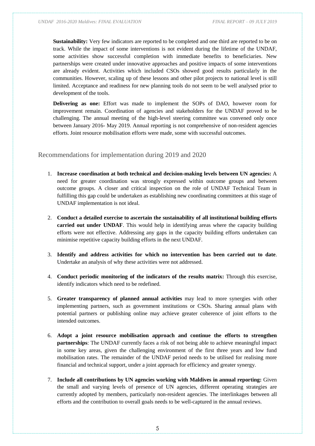**Sustainability:** Very few indicators are reported to be completed and one third are reported to be on track. While the impact of some interventions is not evident during the lifetime of the UNDAF, some activities show successful completion with immediate benefits to beneficiaries. New partnerships were created under innovative approaches and positive impacts of some interventions are already evident. Activities which included CSOs showed good results particularly in the communities. However, scaling up of these lessons and other pilot projects to national level is still limited. Acceptance and readiness for new planning tools do not seem to be well analysed prior to development of the tools.

**Delivering as one:** Effort was made to implement the SOPs of DAO, however room for improvement remain. Coordination of agencies and stakeholders for the UNDAF proved to be challenging. The annual meeting of the high-level steering committee was convened only once between January 2016- May 2019. Annual reporting is not comprehensive of non-resident agencies efforts. Joint resource mobilisation efforts were made, some with successful outcomes.

### <span id="page-4-0"></span>Recommendations for implementation during 2019 and 2020

- 1. **Increase coordination at both technical and decision-making levels between UN agencies:** A need for greater coordination was strongly expressed within outcome groups and between outcome groups. A closer and critical inspection on the role of UNDAF Technical Team in fulfilling this gap could be undertaken as establishing new coordinating committees at this stage of UNDAF implementation is not ideal.
- 2. **Conduct a detailed exercise to ascertain the sustainability of all institutional building efforts carried out under UNDAF**. This would help in identifying areas where the capacity building efforts were not effective. Addressing any gaps in the capacity building efforts undertaken can minimise repetitive capacity building efforts in the next UNDAF.
- 3. **Identify and address activities for which no intervention has been carried out to date**. Undertake an analysis of why these activities were not addressed.
- 4. **Conduct periodic monitoring of the indicators of the results matrix:** Through this exercise, identify indicators which need to be redefined.
- 5. **Greater transparency of planned annual activities** may lead to more synergies with other implementing partners, such as government institutions or CSOs. Sharing annual plans with potential partners or publishing online may achieve greater coherence of joint efforts to the intended outcomes.
- 6. **Adopt a joint resource mobilisation approach and continue the efforts to strengthen partnerships**: The UNDAF currently faces a risk of not being able to achieve meaningful impact in some key areas, given the challenging environment of the first three years and low fund mobilisation rates. The remainder of the UNDAF period needs to be utilised for realising more financial and technical support, under a joint approach for efficiency and greater synergy.
- 7. **Include all contributions by UN agencies working with Maldives in annual reporting:** Given the small and varying levels of presence of UN agencies, different operating strategies are currently adopted by members, particularly non-resident agencies. The interlinkages between all efforts and the contribution to overall goals needs to be well-captured in the annual reviews.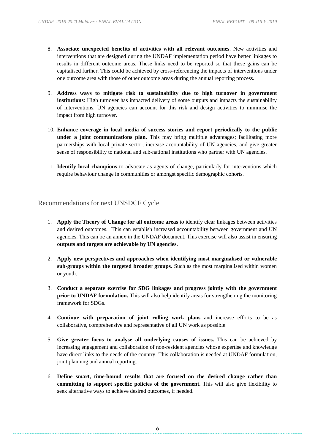- 8. **Associate unexpected benefits of activities with all relevant outcomes**. New activities and interventions that are designed during the UNDAF implementation period have better linkages to results in different outcome areas. These links need to be reported so that these gains can be capitalised further. This could be achieved by cross-referencing the impacts of interventions under one outcome area with those of other outcome areas during the annual reporting process.
- 9. **Address ways to mitigate risk to sustainability due to high turnover in government institutions**: High turnover has impacted delivery of some outputs and impacts the sustainability of interventions. UN agencies can account for this risk and design activities to minimise the impact from high turnover.
- 10. **Enhance coverage in local media of success stories and report periodically to the public under a joint communications plan.** This may bring multiple advantages; facilitating more partnerships with local private sector, increase accountability of UN agencies, and give greater sense of responsibility to national and sub-national institutions who partner with UN agencies.
- 11. **Identify local champions** to advocate as agents of change, particularly for interventions which require behaviour change in communities or amongst specific demographic cohorts.

### <span id="page-5-0"></span>Recommendations for next UNSDCF Cycle

- 1. **Apply the Theory of Change for all outcome areas** to identify clear linkages between activities and desired outcomes. This can establish increased accountability between government and UN agencies. This can be an annex in the UNDAF document. This exercise will also assist in ensuring **outputs and targets are achievable by UN agencies.**
- 2. **Apply new perspectives and approaches when identifying most marginalised or vulnerable sub-groups within the targeted broader groups.** Such as the most marginalised within women or youth.
- 3. **Conduct a separate exercise for SDG linkages and progress jointly with the government prior to UNDAF formulation.** This will also help identify areas for strengthening the monitoring framework for SDGs.
- 4. **Continue with preparation of joint rolling work plans** and increase efforts to be as collaborative, comprehensive and representative of all UN work as possible.
- 5. **Give greater focus to analyse all underlying causes of issues.** This can be achieved by increasing engagement and collaboration of non-resident agencies whose expertise and knowledge have direct links to the needs of the country. This collaboration is needed at UNDAF formulation, joint planning and annual reporting.
- 6. **Define smart, time-bound results that are focused on the desired change rather than committing to support specific policies of the government.** This will also give flexibility to seek alternative ways to achieve desired outcomes, if needed.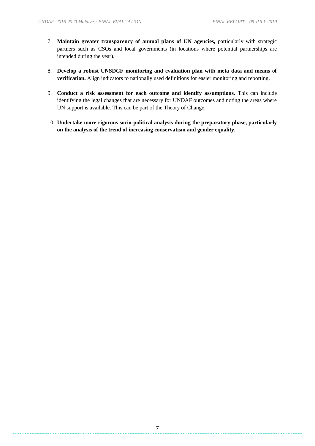- 7. **Maintain greater transparency of annual plans of UN agencies,** particularly with strategic partners such as CSOs and local governments (in locations where potential partnerships are intended during the year).
- 8. **Develop a robust UNSDCF monitoring and evaluation plan with meta data and means of verification.** Align indicators to nationally used definitions for easier monitoring and reporting.
- 9. **Conduct a risk assessment for each outcome and identify assumptions.** This can include identifying the legal changes that are necessary for UNDAF outcomes and noting the areas where UN support is available. This can be part of the Theory of Change.
- 10. **Undertake more rigorous socio-political analysis during the preparatory phase, particularly on the analysis of the trend of increasing conservatism and gender equality.**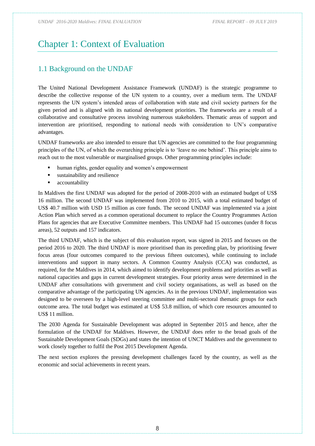# <span id="page-7-0"></span>Chapter 1: Context of Evaluation

# <span id="page-7-1"></span>1.1 Background on the UNDAF

The United National Development Assistance Framework (UNDAF) is the strategic programme to describe the collective response of the UN system to a country, over a medium term. The UNDAF represents the UN system's intended areas of collaboration with state and civil society partners for the given period and is aligned with its national development priorities. The frameworks are a result of a collaborative and consultative process involving numerous stakeholders. Thematic areas of support and intervention are prioritised, responding to national needs with consideration to UN's comparative advantages.

UNDAF frameworks are also intended to ensure that UN agencies are committed to the four programming principles of the UN, of which the overarching principle is to 'leave no one behind'. This principle aims to reach out to the most vulnerable or marginalised groups. Other programming principles include:

- human rights, gender equality and women's empowerment
- sustainability and resilience
- accountability

In Maldives the first UNDAF was adopted for the period of 2008-2010 with an estimated budget of US\$ 16 million. The second UNDAF was implemented from 2010 to 2015, with a total estimated budget of US\$ 40.7 million with USD 15 million as core funds. The second UNDAF was implemented via a joint Action Plan which served as a common operational document to replace the Country Programmes Action Plans for agencies that are Executive Committee members. This UNDAF had 15 outcomes (under 8 focus areas), 52 outputs and 157 indicators.

The third UNDAF, which is the subject of this evaluation report, was signed in 2015 and focuses on the period 2016 to 2020. The third UNDAF is more prioritised than its preceding plan, by prioritising fewer focus areas (four outcomes compared to the previous fifteen outcomes), while continuing to include interventions and support in many sectors. A Common Country Analysis (CCA) was conducted, as required, for the Maldives in 2014, which aimed to identify development problems and priorities as well as national capacities and gaps in current development strategies. Four priority areas were determined in the UNDAF after consultations with government and civil society organisations, as well as based on the comparative advantage of the participating UN agencies. As in the previous UNDAF, implementation was designed to be overseen by a high-level steering committee and multi-sectoral thematic groups for each outcome area. The total budget was estimated at US\$ 53.8 million, of which core resources amounted to US\$ 11 million.

The 2030 Agenda for Sustainable Development was adopted in September 2015 and hence, after the formulation of the UNDAF for Maldives. However, the UNDAF does refer to the broad goals of the Sustainable Development Goals (SDGs) and states the intention of UNCT Maldives and the government to work closely together to fulfil the Post 2015 Development Agenda.

The next section explores the pressing development challenges faced by the country, as well as the economic and social achievements in recent years.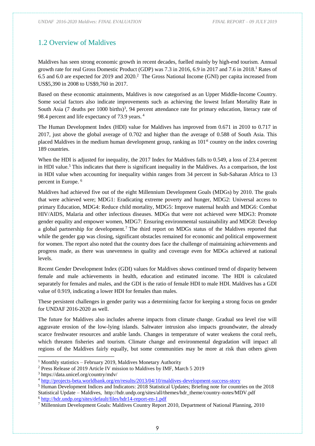## <span id="page-8-0"></span>1.2 Overview of Maldives

Maldives has seen strong economic growth in recent decades, fuelled mainly by high-end tourism. Annual growth rate for real Gross Domestic Product (GDP) was 7.3 in 2016, 6.9 in 2017 and 7.6 in 2018.<sup>1</sup> Rates of 6.5 and 6.0 are expected for 2019 and 2020.<sup>2</sup> The Gross National Income (GNI) per capita increased from US\$5,390 in 2008 to US\$9,760 in 2017.

Based on these economic attainments, Maldives is now categorised as an Upper Middle-Income Country. Some social factors also indicate improvements such as achieving the lowest Infant Mortality Rate in South Asia (7 deaths per 1000 births)<sup>3</sup>, 94 percent attendance rate for primary education, literacy rate of 98.4 percent and life expectancy of 73.9 years. <sup>4</sup>

The Human Development Index (HDI) value for Maldives has improved from 0.671 in 2010 to 0.717 in 2017, just above the global average of 0.702 and higher than the average of 0.588 of South Asia. This placed Maldives in the medium human development group, ranking as 101st country on the index covering 189 countries.

When the HDI is adjusted for inequality, the 2017 Index for Maldives falls to 0.549, a loss of 23.4 percent in HDI value.<sup>5</sup> This indicates that there is significant inequality in the Maldives. As a comparison, the lost in HDI value when accounting for inequality within ranges from 34 percent in Sub-Saharan Africa to 13 percent in Europe. <sup>6</sup>

Maldives had achieved five out of the eight Millennium Development Goals (MDGs) by 2010. The goals that were achieved were; MDG1: Eradicating extreme poverty and hunger, MDG2: Universal access to primary Education, MDG4: Reduce child mortality, MDG5: Improve maternal health and MDG6: Combat HIV/AIDS, Malaria and other infectious diseases. MDGs that were not achieved were MDG3: Promote gender equality and empower women, MDG7: Ensuring environmental sustainability and MDG8: Develop a global partnership for development.<sup>7</sup> The third report on MDGs status of the Maldives reported that while the gender gap was closing, significant obstacles remained for economic and political empowerment for women. The report also noted that the country does face the challenge of maintaining achievements and progress made, as there was unevenness in quality and coverage even for MDGs achieved at national levels.

Recent Gender Development Index (GDI) values for Maldives shows continued trend of disparity between female and male achievements in health, education and estimated income. The HDI is calculated separately for females and males, and the GDI is the ratio of female HDI to male HDI. Maldives has a GDI value of 0.919, indicating a lower HDI for females than males.

These persistent challenges in gender parity was a determining factor for keeping a strong focus on gender for UNDAF 2016-2020 as well.

The future for Maldives also includes adverse impacts from climate change. Gradual sea level rise will aggravate erosion of the low-lying islands. Saltwater intrusion also impacts groundwater, the already scarce freshwater resources and arable lands. Changes in temperature of water weakens the coral reefs, which threaten fisheries and tourism. Climate change and environmental degradation will impact all regions of the Maldives fairly equally, but some communities may be more at risk than others given

<sup>3</sup> https://data.unicef.org/country/mdv/

 $1$  Monthly statistics – February 2019, Maldives Monetary Authority

<sup>2</sup> Press Release of 2019 Article IV mission to Maldives by IMF, March 5 2019

<sup>4</sup> <http://projects-beta.worldbank.org/en/results/2013/04/10/maldives-development-success-story>

<sup>&</sup>lt;sup>5</sup> Human Development Indices and Indicators: 2018 Statistical Updates; Briefing note for countries on the 2018 Statistical Update – Maldives, http://hdr.undp.org/sites/all/themes/hdr\_theme/country-notes/MDV.pdf <sup>6</sup> <http://hdr.undp.org/sites/default/files/hdr14-report-en-1.pdf>

<sup>7</sup> Millennium Development Goals: Maldives Country Report 2010, Department of National Planning, 2010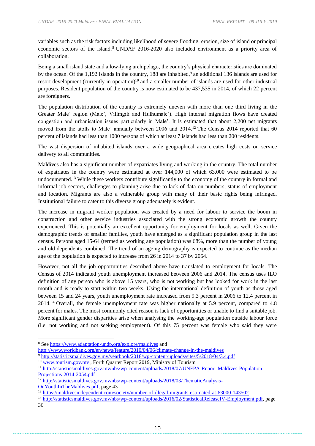variables such as the risk factors including likelihood of severe flooding, erosion, size of island or principal economic sectors of the island.<sup>8</sup> UNDAF 2016-2020 also included environment as a priority area of collaboration.

Being a small island state and a low-lying archipelago, the country's physical characteristics are dominated by the ocean. Of the 1,192 islands in the country, 188 are inhabited,<sup>9</sup> an additional 136 islands are used for resort development (currently in operation)<sup>10</sup> and a smaller number of islands are used for other industrial purposes. Resident population of the country is now estimated to be 437,535 in 2014, of which 22 percent are foreigners.<sup>11</sup>

The population distribution of the country is extremely uneven with more than one third living in the Greater Male' region (Male', Villingili and Hulhumale'). High internal migration flows have created congestion and urbanisation issues particularly in Male'. It is estimated that about 2,200 net migrants moved from the atolls to Male' annually between 2006 and 2014.<sup>12</sup> The Census 2014 reported that 60 percent of islands had less than 1000 persons of which at least 7 islands had less than 200 residents.

The vast dispersion of inhabited islands over a wide geographical area creates high costs on service delivery to all communities.

Maldives also has a significant number of expatriates living and working in the country. The total number of expatriates in the country were estimated at over 144,000 of which 63,000 were estimated to be undocumented.<sup>13</sup> While these workers contribute significantly to the economy of the country in formal and informal job sectors, challenges to planning arise due to lack of data on numbers, status of employment and location. Migrants are also a vulnerable group with many of their basic rights being infringed. Institutional failure to cater to this diverse group adequately is evident.

The increase in migrant worker population was created by a need for labour to service the boom in construction and other service industries associated with the strong economic growth the country experienced. This is potentially an excellent opportunity for employment for locals as well. Given the demographic trends of smaller families, youth have emerged as a significant population group in the last census. Persons aged 15-64 (termed as working age population) was 68%, more than the number of young and old dependents combined. The trend of an ageing demography is expected to continue as the median age of the population is expected to increase from 26 in 2014 to 37 by 2054.

However, not all the job opportunities described above have translated to employment for locals. The Census of 2014 indicated youth unemployment increased between 2006 and 2014. The census uses ILO definition of any person who is above 15 years, who is not working but has looked for work in the last month and is ready to start within two weeks. Using the international definition of youth as those aged between 15 and 24 years, youth unemployment rate increased from 9.3 percent in 2006 to 12.4 percent in 2014.<sup>14</sup> Overall, the female unemployment rate was higher nationally at 5.9 percent, compared to 4.8 percent for males. The most commonly cited reason is lack of opportunities or unable to find a suitable job. More significant gender disparities arise when analysing the working-age population outside labour force (i.e. not working and not seeking employment). Of this 75 percent was female who said they were

<sup>&</sup>lt;sup>8</sup> Se[e https://www.adaptation-undp.org/explore/maldives](https://www.adaptation-undp.org/explore/maldives) and

<http://www.worldbank.org/en/news/feature/2010/04/06/climate-change-in-the-maldives>

<sup>9</sup> <http://statisticsmaldives.gov.mv/yearbook/2018/wp-content/uploads/sites/5/2018/04/3.4.pdf>

<sup>&</sup>lt;sup>10</sup> [www.tourism.gov.mv](http://www.tourism.gov.mv/), Forth Quarter Report 2019, Ministry of Tourism

<sup>11</sup> [http://statisticsmaldives.gov.mv/nbs/wp-content/uploads/2018/07/UNFPA-Report-Maldives-Population-](http://statisticsmaldives.gov.mv/nbs/wp-content/uploads/2018/07/UNFPA-Report-Maldives-Population-Projections-2014-2054.pdf)[Projections-2014-2054.pdf](http://statisticsmaldives.gov.mv/nbs/wp-content/uploads/2018/07/UNFPA-Report-Maldives-Population-Projections-2014-2054.pdf)

<sup>&</sup>lt;sup>12</sup> [http://statisticsmaldives.gov.mv/nbs/wp-content/uploads/2018/03/ThematicAnalysis-](http://statisticsmaldives.gov.mv/nbs/wp-content/uploads/2018/03/ThematicAnalysis-OnYouthInTheMaldives.pdf)

[OnYouthInTheMaldives.pdf,](http://statisticsmaldives.gov.mv/nbs/wp-content/uploads/2018/03/ThematicAnalysis-OnYouthInTheMaldives.pdf) page 43

<sup>13</sup> <https://maldivesindependent.com/society/number-of-illegal-migrants-estimated-at-63000-143502>

<sup>14</sup> [http://statisticsmaldives.gov.mv/nbs/wp-content/uploads/2016/02/StatisticalReleaseIV-Employment.pdf,](http://statisticsmaldives.gov.mv/nbs/wp-content/uploads/2016/02/StatisticalReleaseIV-Employment.pdf) page 36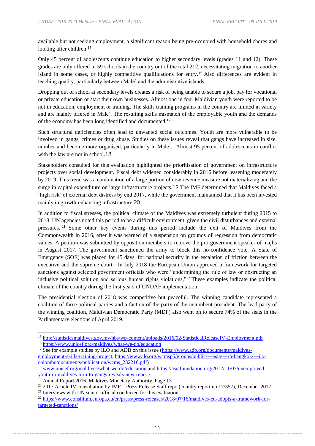available but not seeking employment, a significant reason being pre-occupied with household chores and looking after children.<sup>15</sup>

Only 45 percent of adolescents continue education to higher secondary levels (grades 11 and 12). These grades are only offered in 59 schools in the country out of the total 212, necessitating migration to another island in some cases, or highly competitive qualifications for entry.<sup>16</sup> Also differences are evident in teaching quality, particularly between Male' and the administrative islands.

Dropping out of school at secondary levels creates a risk of being unable to secure a job, pay for vocational or private education or start their own businesses. Almost one in four Maldivian youth were reported to be not in education, employment or training. The skills training programs in the country are limited in variety and are mainly offered in Male'. The resulting skills mismatch of the employable youth and the demands of the economy has been long identified and documented.<sup>17</sup>

Such structural deficiencies often lead to unwanted social outcomes. Youth are more vulnerable to be involved in gangs, crimes or drug abuse. Studies on these issues reveal that gangs have increased in size, number and become more organised, particularly in Male'. Almost 95 percent of adolescents in conflict with the law are not in school.18

Stakeholders consulted for this evaluation highlighted the prioritisation of government on infrastructure projects over social development. Fiscal debt widened considerably in 2016 before lessening moderately by 2019. This trend was a combination of a large portion of new revenue measure not materializing and the surge in capital expenditure on large infrastructure projects.19 The IMF determined that Maldives faced a 'high risk' of external debt distress by end 2017, while the government maintained that it has been invested mainly in growth-enhancing infrastructure.20

In addition to fiscal stresses, the political climate of the Maldives was extremely turbulent during 2015 to 2018. UN agencies noted this period to be a difficult environment, given the civil disturbances and external pressures. <sup>21</sup> Some other key events during this period include the exit of Maldives from the Commonwealth in 2016, after it was warned of a suspension on grounds of regression from democratic values. A petition was submitted by opposition members to remove the pro-government speaker of majlis in August 2017. The government sanctioned the army to block this no-confidence vote. A State of Emergency (SOE) was placed for 45 days, for national security in the escalation of friction between the executive and the supreme court. In July 2018 the European Union approved a framework for targeted sanctions against selected government officials who were "undermining the rule of law or obstructing an inclusive political solution and serious human rights violations,"<sup>22</sup> These examples indicate the political climate of the country during the first years of UNDAF implementation.

The presidential election of 2018 was competitive but peaceful. The winning candidate represented a coalition of three political parties and a faction of the party of the incumbent president. The lead party of the winning coalition, Maldivian Democratic Party (MDP) also went on to secure 74% of the seats in the Parliamentary elections of April 2019.

<sup>15</sup> <http://statisticsmaldives.gov.mv/nbs/wp-content/uploads/2016/02/StatisticalReleaseIV-Employment.pdf> <sup>16</sup> <https://www.unicef.org/maldives/what-we-do/education>

<sup>&</sup>lt;sup>17</sup> See for example studies by ILO and ADB on this issue [\(https://www.adb.org/documents/maldives](https://www.adb.org/documents/maldives-employment-skills-training-project)[employment-skills-training-project,](https://www.adb.org/documents/maldives-employment-skills-training-project) [https://www.ilo.org/wcmsp5/groups/public/---asia/---ro-bangkok/---ilo](https://www.ilo.org/wcmsp5/groups/public/---asia/---ro-bangkok/---ilo-colombo/documents/publication/wcms_232216.pdf)[colombo/documents/publication/wcms\\_232216.pdf\)](https://www.ilo.org/wcmsp5/groups/public/---asia/---ro-bangkok/---ilo-colombo/documents/publication/wcms_232216.pdf)

<sup>18</sup> [www.unicef.org/maldives/what-we-do/education](http://www.unicef.org/maldives/what-we-do/education) and [https://asiafoundation.org/2012/11/07/unemployed](https://asiafoundation.org/2012/11/07/unemployed-youth-in-maldives-turn-to-gangs-reveals-new-report/)[youth-in-maldives-turn-to-gangs-reveals-new-report/](https://asiafoundation.org/2012/11/07/unemployed-youth-in-maldives-turn-to-gangs-reveals-new-report/)

<sup>&</sup>lt;sup>19</sup> Annual Report 2016, Maldives Monetary Authority, Page 13

<sup>&</sup>lt;sup>20</sup> 2017 Article IV consultation by IMF – Press Release Staff repo (country report no.17/357), December 2017  $21$  Interviews with UN senior official conducted for this evaluation.

<sup>&</sup>lt;sup>22</sup> [https://www.consilium.europa.eu/en/press/press-releases/2018/07/16/maldives-eu-adopts-a-framework-for](https://www.consilium.europa.eu/en/press/press-releases/2018/07/16/maldives-eu-adopts-a-framework-for-targeted-sanctions/)[targeted-sanctions/](https://www.consilium.europa.eu/en/press/press-releases/2018/07/16/maldives-eu-adopts-a-framework-for-targeted-sanctions/)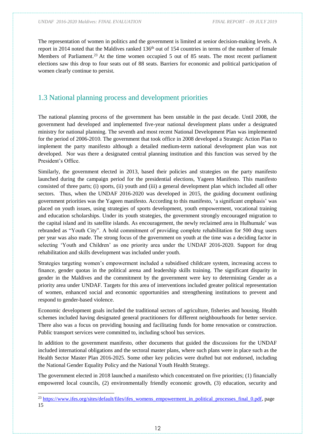The representation of women in politics and the government is limited at senior decision-making levels. A report in 2014 noted that the Maldives ranked  $136<sup>th</sup>$  out of 154 countries in terms of the number of female Members of Parliament.<sup>23</sup> At the time women occupied 5 out of 85 seats. The most recent parliament elections saw this drop to four seats out of 88 seats. Barriers for economic and political participation of women clearly continue to persist.

## <span id="page-11-0"></span>1.3 National planning process and development priorities

The national planning process of the government has been unstable in the past decade. Until 2008, the government had developed and implemented five-year national development plans under a designated ministry for national planning. The seventh and most recent National Development Plan was implemented for the period of 2006-2010. The government that took office in 2008 developed a Strategic Action Plan to implement the party manifesto although a detailed medium-term national development plan was not developed. Nor was there a designated central planning institution and this function was served by the President's Office.

Similarly, the government elected in 2013, based their policies and strategies on the party manifesto launched during the campaign period for the presidential elections, Yageen Manifesto. This manifesto consisted of three parts; (i) sports, (ii) youth and (iii) a general development plan which included all other sectors. Thus, when the UNDAF 2016-2020 was developed in 2015, the guiding document outlining government priorities was the Yageen manifesto. According to this manifesto, 'a significant emphasis' was placed on youth issues, using strategies of sports development, youth empowerment, vocational training and education scholarships. Under its youth strategies, the government strongly encouraged migration to the capital island and its satellite islands. As encouragement, the newly reclaimed area in Hulhumale' was rebranded as "Youth City". A bold commitment of providing complete rehabilitation for 500 drug users per year was also made. The strong focus of the government on youth at the time was a deciding factor in selecting 'Youth and Children' as one priority area under the UNDAF 2016-2020. Support for drug rehabilitation and skills development was included under youth.

Strategies targeting women's empowerment included a subsidised childcare system, increasing access to finance, gender quotas in the political arena and leadership skills training. The significant disparity in gender in the Maldives and the commitment by the government were key to determining Gender as a priority area under UNDAF. Targets for this area of interventions included greater political representation of women, enhanced social and economic opportunities and strengthening institutions to prevent and respond to gender-based violence.

Economic development goals included the traditional sectors of agriculture, fisheries and housing. Health schemes included having designated general practitioners for different neighbourhoods for better service. There also was a focus on providing housing and facilitating funds for home renovation or construction. Public transport services were committed to, including school bus services.

In addition to the government manifesto, other documents that guided the discussions for the UNDAF included international obligations and the sectoral master plans, where such plans were in place such as the Health Sector Master Plan 2016-2025. Some other key policies were drafted but not endorsed, including the National Gender Equality Policy and the National Youth Health Strategy.

The government elected in 2018 launched a manifesto which concentrated on five priorities; (1) financially empowered local councils, (2) environmentally friendly economic growth, (3) education, security and

<sup>&</sup>lt;sup>23</sup> [https://www.ifes.org/sites/default/files/ifes\\_womens\\_empowerment\\_in\\_political\\_processes\\_final\\_0.pdf,](https://www.ifes.org/sites/default/files/ifes_womens_empowerment_in_political_processes_final_0.pdf) page 15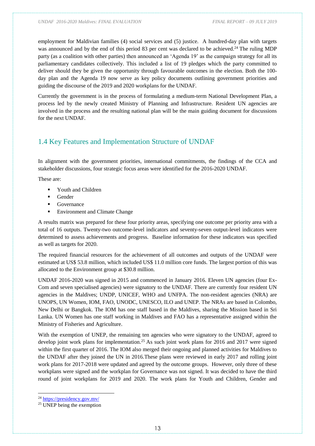employment for Maldivian families (4) social services and (5) justice. A hundred-day plan with targets was announced and by the end of this period 83 per cent was declared to be achieved.<sup>24</sup> The ruling MDP party (as a coalition with other parties) then announced an 'Agenda 19' as the campaign strategy for all its parliamentary candidates collectively. This included a list of 19 pledges which the party committed to deliver should they be given the opportunity through favourable outcomes in the election. Both the 100 day plan and the Agenda 19 now serve as key policy documents outlining government priorities and guiding the discourse of the 2019 and 2020 workplans for the UNDAF.

Currently the government is in the process of formulating a medium-term National Development Plan, a process led by the newly created Ministry of Planning and Infrastructure. Resident UN agencies are involved in the process and the resulting national plan will be the main guiding document for discussions for the next UNDAF.

## <span id="page-12-0"></span>1.4 Key Features and Implementation Structure of UNDAF

In alignment with the government priorities, international commitments, the findings of the CCA and stakeholder discussions, four strategic focus areas were identified for the 2016-2020 UNDAF.

These are:

- Youth and Children
- Gender
- Governance
- Environment and Climate Change

A results matrix was prepared for these four priority areas, specifying one outcome per priority area with a total of 16 outputs. Twenty-two outcome-level indicators and seventy-seven output-level indicators were determined to assess achievements and progress. Baseline information for these indicators was specified as well as targets for 2020.

The required financial resources for the achievement of all outcomes and outputs of the UNDAF were estimated at US\$ 53.8 million, which included US\$ 11.0 million core funds. The largest portion of this was allocated to the Environment group at \$30.8 million.

UNDAF 2016-2020 was signed in 2015 and commenced in January 2016. Eleven UN agencies (four Ex-Com and seven specialised agencies) were signatory to the UNDAF. There are currently four resident UN agencies in the Maldives; UNDP, UNICEF, WHO and UNFPA. The non-resident agencies (NRA) are UNOPS, UN Women, IOM, FAO, UNODC, UNESCO, ILO and UNEP. The NRAs are based in Colombo, New Delhi or Bangkok. The IOM has one staff based in the Maldives, sharing the Mission based in Sri Lanka. UN Women has one staff working in Maldives and FAO has a representative assigned within the Ministry of Fisheries and Agriculture.

With the exemption of UNEP, the remaining ten agencies who were signatory to the UNDAF, agreed to develop joint work plans for implementation.<sup>25</sup> As such joint work plans for 2016 and 2017 were signed within the first quarter of 2016. The IOM also merged their ongoing and planned activities for Maldives to the UNDAF after they joined the UN in 2016.These plans were reviewed in early 2017 and rolling joint work plans for 2017-2018 were updated and agreed by the outcome groups. However, only three of these workplans were signed and the workplan for Governance was not signed. It was decided to have the third round of joint workplans for 2019 and 2020. The work plans for Youth and Children, Gender and

<sup>24</sup> <https://presidency.gov.mv/>

<sup>&</sup>lt;sup>25</sup> UNEP being the exemption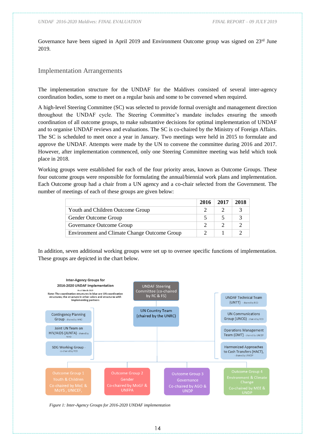Governance have been signed in April 2019 and Environment Outcome group was signed on 23<sup>rd</sup> June 2019.

#### <span id="page-13-0"></span>Implementation Arrangements

The implementation structure for the UNDAF for the Maldives consisted of several inter-agency coordination bodies, some to meet on a regular basis and some to be convened when required.

A high-level Steering Committee (SC) was selected to provide formal oversight and management direction throughout the UNDAF cycle. The Steering Committee's mandate includes ensuring the smooth coordination of all outcome groups, to make substantive decisions for optimal implementation of UNDAF and to organise UNDAF reviews and evaluations. The SC is co-chaired by the Ministry of Foreign Affairs. The SC is scheduled to meet once a year in January. Two meetings were held in 2015 to formulate and approve the UNDAF. Attempts were made by the UN to convene the committee during 2016 and 2017. However, after implementation commenced, only one Steering Committee meeting was held which took place in 2018.

Working groups were established for each of the four priority areas, known as Outcome Groups. These four outcome groups were responsible for formulating the annual/biennial work plans and implementation. Each Outcome group had a chair from a UN agency and a co-chair selected from the Government. The number of meetings of each of these groups are given below:

|                                                     | 2016 | 2017 | 2018 |
|-----------------------------------------------------|------|------|------|
| Youth and Children Outcome Group                    |      |      |      |
| Gender Outcome Group                                |      |      |      |
| Governance Outcome Group                            |      |      |      |
| <b>Environment and Climate Change Outcome Group</b> |      |      |      |

In addition, seven additional working groups were set up to oversee specific functions of implementation. These groups are depicted in the chart below.



*Figure 1: Inter-Agency Groups for 2016-2020 UNDAF implementation*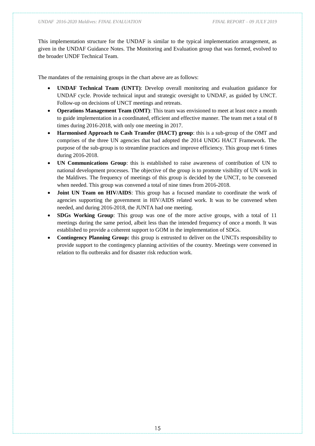This implementation structure for the UNDAF is similar to the typical implementation arrangement, as given in the UNDAF Guidance Notes. The Monitoring and Evaluation group that was formed, evolved to the broader UNDF Technical Team.

The mandates of the remaining groups in the chart above are as follows:

- **UNDAF Technical Team (UNTT)**: Develop overall monitoring and evaluation guidance for UNDAF cycle. Provide technical input and strategic oversight to UNDAF, as guided by UNCT. Follow-up on decisions of UNCT meetings and retreats.
- **Operations Management Team (OMT)**: This team was envisioned to meet at least once a month to guide implementation in a coordinated, efficient and effective manner. The team met a total of 8 times during 2016-2018, with only one meeting in 2017.
- **Harmonised Approach to Cash Transfer (HACT) group**: this is a sub-group of the OMT and comprises of the three UN agencies that had adopted the 2014 UNDG HACT Framework. The purpose of the sub-group is to streamline practices and improve efficiency. This group met 6 times during 2016-2018.
- **UN Communications Group**: this is established to raise awareness of contribution of UN to national development processes. The objective of the group is to promote visibility of UN work in the Maldives. The frequency of meetings of this group is decided by the UNCT, to be convened when needed. This group was convened a total of nine times from 2016-2018.
- **Joint UN Team on HIV/AIDS**: This group has a focused mandate to coordinate the work of agencies supporting the government in HIV/AIDS related work. It was to be convened when needed, and during 2016-2018, the JUNTA had one meeting.
- **SDGs Working Group**: This group was one of the more active groups, with a total of 11 meetings during the same period, albeit less than the intended frequency of once a month. It was established to provide a coherent support to GOM in the implementation of SDGs.
- **Contingency Planning Group:** this group is entrusted to deliver on the UNCTs responsibility to provide support to the contingency planning activities of the country. Meetings were convened in relation to flu outbreaks and for disaster risk reduction work.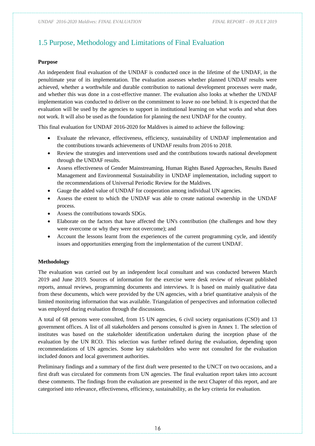# <span id="page-15-0"></span>1.5 Purpose, Methodology and Limitations of Final Evaluation

#### **Purpose**

An independent final evaluation of the UNDAF is conducted once in the lifetime of the UNDAF, in the penultimate year of its implementation. The evaluation assesses whether planned UNDAF results were achieved, whether a worthwhile and durable contribution to national development processes were made, and whether this was done in a cost-effective manner. The evaluation also looks at whether the UNDAF implementation was conducted to deliver on the commitment to leave no one behind. It is expected that the evaluation will be used by the agencies to support in institutional learning on what works and what does not work. It will also be used as the foundation for planning the next UNDAF for the country.

This final evaluation for UNDAF 2016-2020 for Maldives is aimed to achieve the following:

- Evaluate the relevance, effectiveness, efficiency, sustainability of UNDAF implementation and the contributions towards achievements of UNDAF results from 2016 to 2018.
- Review the strategies and interventions used and the contributions towards national development through the UNDAF results.
- Assess effectiveness of Gender Mainstreaming, Human Rights Based Approaches, Results Based Management and Environmental Sustainability in UNDAF implementation, including support to the recommendations of Universal Periodic Review for the Maldives.
- Gauge the added value of UNDAF for cooperation among individual UN agencies.
- Assess the extent to which the UNDAF was able to create national ownership in the UNDAF process.
- Assess the contributions towards SDGs.
- Elaborate on the factors that have affected the UN's contribution (the challenges and how they were overcome or why they were not overcome); and
- Account the lessons learnt from the experiences of the current programming cycle, and identify issues and opportunities emerging from the implementation of the current UNDAF.

#### **Methodology**

The evaluation was carried out by an independent local consultant and was conducted between March 2019 and June 2019. Sources of information for the exercise were desk review of relevant published reports, annual reviews, programming documents and interviews. It is based on mainly qualitative data from these documents, which were provided by the UN agencies, with a brief quantitative analysis of the limited monitoring information that was available. Triangulation of perspectives and information collected was employed during evaluation through the discussions.

A total of 68 persons were consulted, from 15 UN agencies, 6 civil society organisations (CSO) and 13 government offices. A list of all stakeholders and persons consulted is given in Annex 1. The selection of institutes was based on the stakeholder identification undertaken during the inception phase of the evaluation by the UN RCO. This selection was further refined during the evaluation, depending upon recommendations of UN agencies. Some key stakeholders who were not consulted for the evaluation included donors and local government authorities.

Preliminary findings and a summary of the first draft were presented to the UNCT on two occasions, and a first draft was circulated for comments from UN agencies. The final evaluation report takes into account these comments. The findings from the evaluation are presented in the next Chapter of this report, and are categorised into relevance, effectiveness, efficiency, sustainability, as the key criteria for evaluation.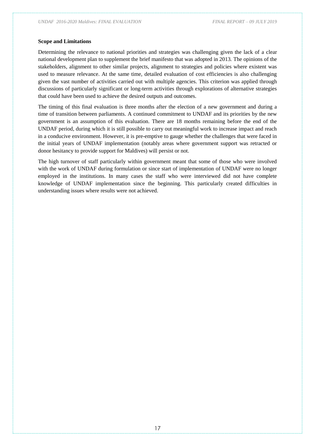#### **Scope and Limitations**

Determining the relevance to national priorities and strategies was challenging given the lack of a clear national development plan to supplement the brief manifesto that was adopted in 2013. The opinions of the stakeholders, alignment to other similar projects, alignment to strategies and policies where existent was used to measure relevance. At the same time, detailed evaluation of cost efficiencies is also challenging given the vast number of activities carried out with multiple agencies. This criterion was applied through discussions of particularly significant or long-term activities through explorations of alternative strategies that could have been used to achieve the desired outputs and outcomes.

The timing of this final evaluation is three months after the election of a new government and during a time of transition between parliaments. A continued commitment to UNDAF and its priorities by the new government is an assumption of this evaluation. There are 18 months remaining before the end of the UNDAF period, during which it is still possible to carry out meaningful work to increase impact and reach in a conducive environment. However, it is pre-emptive to gauge whether the challenges that were faced in the initial years of UNDAF implementation (notably areas where government support was retracted or donor hesitancy to provide support for Maldives) will persist or not.

The high turnover of staff particularly within government meant that some of those who were involved with the work of UNDAF during formulation or since start of implementation of UNDAF were no longer employed in the institutions. In many cases the staff who were interviewed did not have complete knowledge of UNDAF implementation since the beginning. This particularly created difficulties in understanding issues where results were not achieved.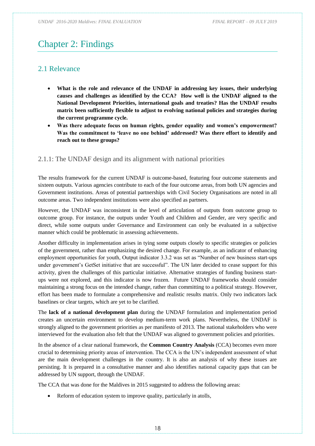# <span id="page-17-0"></span>Chapter 2: Findings

## <span id="page-17-1"></span>2.1 Relevance

- **What is the role and relevance of the UNDAF in addressing key issues, their underlying causes and challenges as identified by the CCA? How well is the UNDAF aligned to the National Development Priorities, international goals and treaties? Has the UNDAF results matrix been sufficiently flexible to adjust to evolving national policies and strategies during the current programme cycle.**
- **Was there adequate focus on human rights, gender equality and women's empowerment? Was the commitment to 'leave no one behind' addressed? Was there effort to identify and reach out to these groups?**

## <span id="page-17-2"></span>2.1.1: The UNDAF design and its alignment with national priorities

The results framework for the current UNDAF is outcome-based, featuring four outcome statements and sixteen outputs. Various agencies contribute to each of the four outcome areas, from both UN agencies and Government institutions. Areas of potential partnerships with Civil Society Organisations are noted in all outcome areas. Two independent institutions were also specified as partners.

However, the UNDAF was inconsistent in the level of articulation of outputs from outcome group to outcome group. For instance, the outputs under Youth and Children and Gender, are very specific and direct, while some outputs under Governance and Environment can only be evaluated in a subjective manner which could be problematic in assessing achievements.

Another difficulty in implementation arises in tying some outputs closely to specific strategies or policies of the government, rather than emphasizing the desired change. For example, as an indicator of enhancing employment opportunities for youth, Output indicator 3.3.2 was set as "Number of new business start-ups under government's GetSet initiative that are successful". The UN later decided to cease support for this activity, given the challenges of this particular initiative. Alternative strategies of funding business startups were not explored, and this indicator is now frozen. Future UNDAF frameworks should consider maintaining a strong focus on the intended change, rather than committing to a political strategy. However, effort has been made to formulate a comprehensive and realistic results matrix. Only two indicators lack baselines or clear targets, which are yet to be clarified.

The **lack of a national development plan** during the UNDAF formulation and implementation period creates an uncertain environment to develop medium-term work plans. Nevertheless, the UNDAF is strongly aligned to the government priorities as per manifesto of 2013. The national stakeholders who were interviewed for the evaluation also felt that the UNDAF was aligned to government policies and priorities.

In the absence of a clear national framework, the **Common Country Analysis** (CCA) becomes even more crucial to determining priority areas of intervention. The CCA is the UN's independent assessment of what are the main development challenges in the country. It is also an analysis of why these issues are persisting. It is prepared in a consultative manner and also identifies national capacity gaps that can be addressed by UN support, through the UNDAF.

The CCA that was done for the Maldives in 2015 suggested to address the following areas:

• Reform of education system to improve quality, particularly in atolls,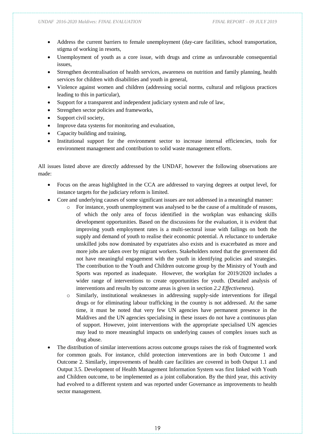- Address the current barriers to female unemployment (day-care facilities, school transportation, stigma of working in resorts,
- Unemployment of youth as a core issue, with drugs and crime as unfavourable consequential issues,
- Strengthen decentralisation of health services, awareness on nutrition and family planning, health services for children with disabilities and youth in general,
- Violence against women and children (addressing social norms, cultural and religious practices leading to this in particular),
- Support for a transparent and independent judiciary system and rule of law,
- Strengthen sector policies and frameworks,
- Support civil society,
- Improve data systems for monitoring and evaluation,
- Capacity building and training,
- Institutional support for the environment sector to increase internal efficiencies, tools for environment management and contribution to solid waste management efforts.

All issues listed above are directly addressed by the UNDAF, however the following observations are made:

- Focus on the areas highlighted in the CCA are addressed to varying degrees at output level, for instance targets for the judiciary reform is limited.
- Core and underlying causes of some significant issues are not addressed in a meaningful manner:
	- For instance, youth unemployment was analysed to be the cause of a multitude of reasons, of which the only area of focus identified in the workplan was enhancing skills development opportunities. Based on the discussions for the evaluation, it is evident that improving youth employment rates is a multi-sectoral issue with failings on both the supply and demand of youth to realise their economic potential. A reluctance to undertake unskilled jobs now dominated by expatriates also exists and is exacerbated as more and more jobs are taken over by migrant workers. Stakeholders noted that the government did not have meaningful engagement with the youth in identifying policies and strategies. The contribution to the Youth and Children outcome group by the Ministry of Youth and Sports was reported as inadequate. However, the workplan for 2019/2020 includes a wider range of interventions to create opportunities for youth. (Detailed analysis of interventions and results by outcome areas is given in section *2.2 Effectiveness*).
	- o Similarly, institutional weaknesses in addressing supply-side interventions for illegal drugs or for eliminating labour trafficking in the country is not addressed. At the same time, it must be noted that very few UN agencies have permanent presence in the Maldives and the UN agencies specialising in these issues do not have a continuous plan of support. However, joint interventions with the appropriate specialised UN agencies may lead to more meaningful impacts on underlying causes of complex issues such as drug abuse.
- The distribution of similar interventions across outcome groups raises the risk of fragmented work for common goals. For instance, child protection interventions are in both Outcome 1 and Outcome 2. Similarly, improvements of health care facilities are covered in both Output 1.1 and Output 3.5. Development of Health Management Information System was first linked with Youth and Children outcome, to be implemented as a joint collaboration. By the third year, this activity had evolved to a different system and was reported under Governance as improvements to health sector management.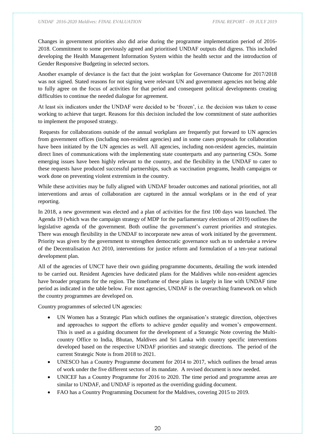Changes in government priorities also did arise during the programme implementation period of 2016- 2018. Commitment to some previously agreed and prioritised UNDAF outputs did digress. This included developing the Health Management Information System within the health sector and the introduction of Gender Responsive Budgeting in selected sectors.

Another example of deviance is the fact that the joint workplan for Governance Outcome for 2017/2018 was not signed. Stated reasons for not signing were relevant UN and government agencies not being able to fully agree on the focus of activities for that period and consequent political developments creating difficulties to continue the needed dialogue for agreement.

At least six indicators under the UNDAF were decided to be 'frozen', i.e. the decision was taken to cease working to achieve that target. Reasons for this decision included the low commitment of state authorities to implement the proposed strategy.

Requests for collaborations outside of the annual workplans are frequently put forward to UN agencies from government offices (including non-resident agencies) and in some cases proposals for collaboration have been initiated by the UN agencies as well. All agencies, including non-resident agencies, maintain direct lines of communications with the implementing state counterparts and any partnering CSOs. Some emerging issues have been highly relevant to the country, and the flexibility in the UNDAF to cater to these requests have produced successful partnerships, such as vaccination programs, health campaigns or work done on preventing violent extremism in the country.

While these activities may be fully aligned with UNDAF broader outcomes and national priorities, not all interventions and areas of collaboration are captured in the annual workplans or in the end of year reporting.

In 2018, a new government was elected and a plan of activities for the first 100 days was launched. The Agenda 19 (which was the campaign strategy of MDP for the parliamentary elections of 2019) outlines the legislative agenda of the government. Both outline the government's current priorities and strategies. There was enough flexibility in the UNDAF to incorporate new areas of work initiated by the government. Priority was given by the government to strengthen democratic governance such as to undertake a review of the Decentralisation Act 2010, interventions for justice reform and formulation of a ten-year national development plan.

All of the agencies of UNCT have their own guiding programme documents, detailing the work intended to be carried out. Resident Agencies have dedicated plans for the Maldives while non-resident agencies have broader programs for the region. The timeframe of these plans is largely in line with UNDAF time period as indicated in the table below. For most agencies, UNDAF is the overarching framework on which the country programmes are developed on.

Country programmes of selected UN agencies:

- UN Women has a Strategic Plan which outlines the organisation's strategic direction, objectives and approaches to support the efforts to achieve gender equality and women's empowerment. This is used as a guiding document for the development of a Strategic Note covering the Multicountry Office to India, Bhutan, Maldives and Sri Lanka with country specific interventions developed based on the respective UNDAF priorities and strategic directions. The period of the current Strategic Note is from 2018 to 2021.
- UNESCO has a Country Programme document for 2014 to 2017, which outlines the broad areas of work under the five different sectors of its mandate. A revised document is now needed.
- UNICEF has a Country Programme for 2016 to 2020. The time period and programme areas are similar to UNDAF, and UNDAF is reported as the overriding guiding document.
- FAO has a Country Programming Document for the Maldives, covering 2015 to 2019.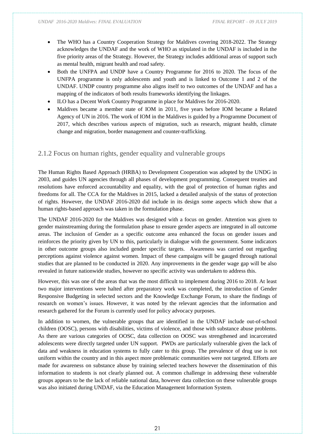- The WHO has a Country Cooperation Strategy for Maldives covering 2018-2022. The Strategy acknowledges the UNDAF and the work of WHO as stipulated in the UNDAF is included in the five priority areas of the Strategy. However, the Strategy includes additional areas of support such as mental health, migrant health and road safety.
- Both the UNFPA and UNDP have a Country Programme for 2016 to 2020. The focus of the UNFPA programme is only adolescents and youth and is linked to Outcome 1 and 2 of the UNDAF. UNDP country programme also aligns itself to two outcomes of the UNDAF and has a mapping of the indicators of both results frameworks identifying the linkages.
- ILO has a Decent Work Country Programme in place for Maldives for 2016-2020.
- Maldives became a member state of IOM in 2011, five years before IOM became a Related Agency of UN in 2016. The work of IOM in the Maldives is guided by a Programme Document of 2017, which describes various aspects of migration, such as research, migrant health, climate change and migration, border management and counter-trafficking.

### <span id="page-20-0"></span>2.1.2 Focus on human rights, gender equality and vulnerable groups

The Human Rights Based Approach (HRBA) to Development Cooperation was adopted by the UNDG in 2003, and guides UN agencies through all phases of development programming. Consequent treaties and resolutions have enforced accountability and equality, with the goal of protection of human rights and freedoms for all. The CCA for the Maldives in 2015, lacked a detailed analysis of the status of protection of rights. However, the UNDAF 2016-2020 did include in its design some aspects which show that a human rights-based approach was taken in the formulation phase.

The UNDAF 2016-2020 for the Maldives was designed with a focus on gender. Attention was given to gender mainstreaming during the formulation phase to ensure gender aspects are integrated in all outcome areas. The inclusion of Gender as a specific outcome area enhanced the focus on gender issues and reinforces the priority given by UN to this, particularly in dialogue with the government. Some indicators in other outcome groups also included gender specific targets. Awareness was carried out regarding perceptions against violence against women. Impact of these campaigns will be gauged through national studies that are planned to be conducted in 2020. Any improvements in the gender wage gap will be also revealed in future nationwide studies, however no specific activity was undertaken to address this.

However, this was one of the areas that was the most difficult to implement during 2016 to 2018. At least two major interventions were halted after preparatory work was completed, the introduction of Gender Responsive Budgeting in selected sectors and the Knowledge Exchange Forum, to share the findings of research on women's issues. However, it was noted by the relevant agencies that the information and research gathered for the Forum is currently used for policy advocacy purposes.

In addition to women, the vulnerable groups that are identified in the UNDAF include out-of-school children (OOSC), persons with disabilities, victims of violence, and those with substance abuse problems. As there are various categories of OOSC, data collection on OOSC was strengthened and incarcerated adolescents were directly targeted under UN support. PWDs are particularly vulnerable given the lack of data and weakness in education systems to fully cater to this group. The prevalence of drug use is not uniform within the country and in this aspect more problematic communities were not targeted. Efforts are made for awareness on substance abuse by training selected teachers however the dissemination of this information to students is not clearly planned out. A common challenge in addressing these vulnerable groups appears to be the lack of reliable national data, however data collection on these vulnerable groups was also initiated during UNDAF, via the Education Management Information System.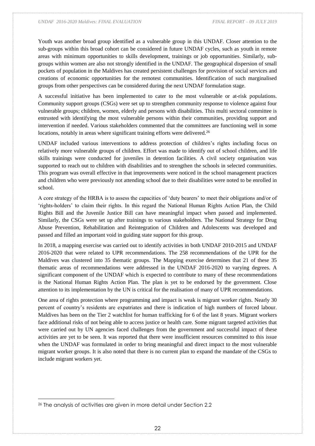Youth was another broad group identified as a vulnerable group in this UNDAF. Closer attention to the sub-groups within this broad cohort can be considered in future UNDAF cycles, such as youth in remote areas with minimum opportunities to skills development, trainings or job opportunities. Similarly, subgroups within women are also not strongly identified in the UNDAF. The geographical dispersion of small pockets of population in the Maldives has created persistent challenges for provision of social services and creations of economic opportunities for the remotest communities. Identification of such marginalised groups from other perspectives can be considered during the next UNDAF formulation stage.

A successful initiative has been implemented to cater to the most vulnerable or at-risk populations. Community support groups (CSGs) were set up to strengthen community response to violence against four vulnerable groups; children, women, elderly and persons with disabilities. This multi sectoral committee is entrusted with identifying the most vulnerable persons within their communities, providing support and intervention if needed. Various stakeholders commented that the committees are functioning well in some locations, notably in areas where significant training efforts were delivered.<sup>26</sup>

UNDAF included various interventions to address protection of children's rights including focus on relatively more vulnerable groups of children. Effort was made to identify out of school children, and life skills trainings were conducted for juveniles in detention facilities. A civil society organisation was supported to reach out to children with disabilities and to strengthen the schools in selected communities. This program was overall effective in that improvements were noticed in the school management practices and children who were previously not attending school due to their disabilities were noted to be enrolled in school.

A core strategy of the HRBA is to assess the capacities of 'duty bearers' to meet their obligations and/or of 'rights-holders' to claim their rights. In this regard the National Human Rights Action Plan, the Child Rights Bill and the Juvenile Justice Bill can have meaningful impact when passed and implemented. Similarly, the CSGs were set up after trainings to various stakeholders. The National Strategy for Drug Abuse Prevention, Rehabilitation and Reintegration of Children and Adolescents was developed and passed and filled an important void in guiding state support for this group.

In 2018, a mapping exercise was carried out to identify activities in both UNDAF 2010-2015 and UNDAF 2016-2020 that were related to UPR recommendations. The 258 recommendations of the UPR for the Maldives was clustered into 35 thematic groups. The Mapping exercise determines that 21 of these 35 thematic areas of recommendations were addressed in the UNDAF 2016-2020 to varying degrees. A significant component of the UNDAF which is expected to contribute to many of these recommendations is the National Human Rights Action Plan. The plan is yet to be endorsed by the government. Close attention to its implementation by the UN is critical for the realisation of many of UPR recommendations.

One area of rights protection where programming and impact is weak is migrant worker rights. Nearly 30 percent of country's residents are expatriates and there is indication of high numbers of forced labour. Maldives has been on the Tier 2 watchlist for human trafficking for 6 of the last 8 years. Migrant workers face additional risks of not being able to access justice or health care. Some migrant targeted activities that were carried out by UN agencies faced challenges from the government and successful impact of these activities are yet to be seen. It was reported that there were insufficient resources committed to this issue when the UNDAF was formulated in order to bring meaningful and direct impact to the most vulnerable migrant worker groups. It is also noted that there is no current plan to expand the mandate of the CSGs to include migrant workers yet.

<sup>26</sup> The analysis of activities are given in more detail under Section 2.2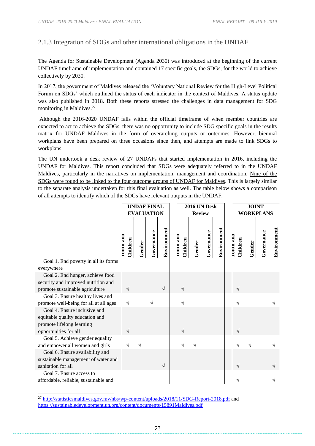### <span id="page-22-0"></span>2.1.3 Integration of SDGs and other international obligations in the UNDAF

The Agenda for Sustainable Development (Agenda 2030) was introduced at the beginning of the current UNDAF timeframe of implementation and contained 17 specific goals, the SDGs, for the world to achieve collectively by 2030.

In 2017, the government of Maldives released the 'Voluntary National Review for the High-Level Political Forum on SDGs' which outlined the status of each indicator in the context of Maldives. A status update was also published in 2018. Both these reports stressed the challenges in data management for SDG monitoring in Maldives. 27

Although the 2016-2020 UNDAF falls within the official timeframe of when member countries are expected to act to achieve the SDGs, there was no opportunity to include SDG specific goals in the results matrix for UNDAF Maldives in the form of overarching outputs or outcomes. However, biennial workplans have been prepared on three occasions since then, and attempts are made to link SDGs to workplans.

The UN undertook a desk review of 27 UNDAFs that started implementation in 2016, including the UNDAF for Maldives. This report concluded that SDGs were adequately referred to in the UNDAF Maldives, particularly in the narratives on implementation, management and coordination. Nine of the SDGs were found to be linked to the four outcome groups of UNDAF for Maldives. This is largely similar to the separate analysis undertaken for this final evaluation as well. The table below shows a comparison of all attempts to identify which of the SDGs have relevant outputs in the UNDAF.

|                                                                                                                       |                            | <b>UNDAF FINAL</b><br><b>EVALUATION</b> |            |             |                              |        | 2016 UN Desk |             | <b>JOINT</b><br><b>WORKPLANS</b> |        |            |             |
|-----------------------------------------------------------------------------------------------------------------------|----------------------------|-----------------------------------------|------------|-------------|------------------------------|--------|--------------|-------------|----------------------------------|--------|------------|-------------|
|                                                                                                                       |                            |                                         |            |             | <b>Review</b>                |        |              |             |                                  |        |            |             |
|                                                                                                                       | <b>Dur and</b><br>Children | Gender                                  | Governance | Environment | <b>Lonni suo</b><br>Children | Gender | Governance   | Environment | <b>TOULD AND</b><br>Children     | Gender | Governance | Environment |
| Goal 1. End poverty in all its forms                                                                                  |                            |                                         |            |             |                              |        |              |             |                                  |        |            |             |
| everywhere                                                                                                            |                            |                                         |            |             |                              |        |              |             |                                  |        |            |             |
| Goal 2. End hunger, achieve food<br>security and improved nutrition and<br>promote sustainable agriculture            | $\sqrt{ }$                 |                                         |            | $\sqrt{ }$  | $\sqrt{ }$                   |        |              |             | $\sqrt{ }$                       |        |            |             |
| Goal 3. Ensure healthy lives and<br>promote well-being for all at all ages                                            | $\sqrt{ }$                 |                                         |            |             | N                            |        |              |             | V                                |        |            |             |
| Goal 4. Ensure inclusive and<br>equitable quality education and<br>promote lifelong learning<br>opportunities for all | $\sqrt{}$                  |                                         |            |             | $\sqrt{}$                    |        |              |             | $\sqrt{}$                        |        |            |             |
| Goal 5. Achieve gender equality<br>and empower all women and girls                                                    | V                          |                                         |            |             | N                            |        |              |             |                                  |        |            |             |
| Goal 6. Ensure availability and<br>sustainable management of water and<br>sanitation for all                          |                            |                                         |            | $\sqrt{}$   |                              |        |              |             |                                  |        |            |             |
| Goal 7. Ensure access to<br>affordable, reliable, sustainable and                                                     |                            |                                         |            |             |                              |        |              |             |                                  |        |            |             |

<sup>&</sup>lt;sup>27</sup> <http://statisticsmaldives.gov.mv/nbs/wp-content/uploads/2018/11/SDG-Report-2018.pdf> and <https://sustainabledevelopment.un.org/content/documents/15891Maldives.pdf>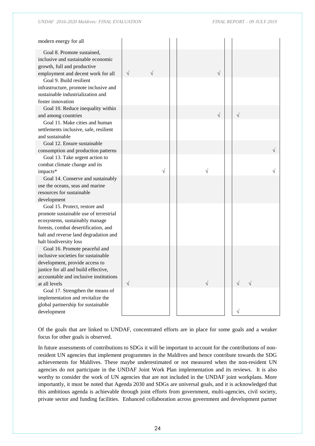*UNDAF 2016-2020 Maldives: FINAL EVALUATION FINAL REPORT – 09 JULY 2019*

| modern energy for all                                                 |           |           |           |           |  |
|-----------------------------------------------------------------------|-----------|-----------|-----------|-----------|--|
| Goal 8. Promote sustained,                                            |           |           |           |           |  |
| inclusive and sustainable economic                                    |           |           |           |           |  |
| growth, full and productive                                           |           |           |           |           |  |
| employment and decent work for all                                    | $\sqrt{}$ | $\sqrt{}$ | $\sqrt{}$ |           |  |
| Goal 9. Build resilient                                               |           |           |           |           |  |
| infrastructure, promote inclusive and                                 |           |           |           |           |  |
| sustainable industrialization and<br>foster innovation                |           |           |           |           |  |
| Goal 10. Reduce inequality within                                     |           |           |           |           |  |
| and among countries                                                   |           |           | $\sqrt{}$ | $\sqrt{}$ |  |
| Goal 11. Make cities and human                                        |           |           |           |           |  |
| settlements inclusive, safe, resilient                                |           |           |           |           |  |
| and sustainable                                                       |           |           |           |           |  |
| Goal 12. Ensure sustainable                                           |           |           |           |           |  |
| consumption and production patterns                                   |           |           |           |           |  |
| Goal 13. Take urgent action to                                        |           |           |           |           |  |
| combat climate change and its                                         |           |           |           |           |  |
| impacts*                                                              |           | $\sqrt{}$ |           |           |  |
| Goal 14. Conserve and sustainably                                     |           |           |           |           |  |
| use the oceans, seas and marine                                       |           |           |           |           |  |
| resources for sustainable                                             |           |           |           |           |  |
| development<br>Goal 15. Protect, restore and                          |           |           |           |           |  |
| promote sustainable use of terrestrial                                |           |           |           |           |  |
| ecosystems, sustainably manage                                        |           |           |           |           |  |
| forests, combat desertification, and                                  |           |           |           |           |  |
| halt and reverse land degradation and                                 |           |           |           |           |  |
| halt biodiversity loss                                                |           |           |           |           |  |
| Goal 16. Promote peaceful and                                         |           |           |           |           |  |
| inclusive societies for sustainable                                   |           |           |           |           |  |
| development, provide access to                                        |           |           |           |           |  |
| justice for all and build effective,                                  |           |           |           |           |  |
| accountable and inclusive institutions                                |           |           |           |           |  |
| at all levels                                                         | $\sqrt{}$ |           |           |           |  |
| Goal 17. Strengthen the means of<br>implementation and revitalize the |           |           |           |           |  |
| global partnership for sustainable                                    |           |           |           |           |  |
| development                                                           |           |           |           |           |  |
|                                                                       |           |           |           |           |  |

Of the goals that are linked to UNDAF, concentrated efforts are in place for some goals and a weaker focus for other goals is observed.

In future assessments of contributions to SDGs it will be important to account for the contributions of nonresident UN agencies that implement programmes in the Maldives and hence contribute towards the SDG achievements for Maldives. These maybe underestimated or not measured when the non-resident UN agencies do not participate in the UNDAF Joint Work Plan implementation and its reviews. It is also worthy to consider the work of UN agencies that are not included in the UNDAF joint workplans. More importantly, it must be noted that Agenda 2030 and SDGs are universal goals, and it is acknowledged that this ambitious agenda is achievable through joint efforts from government, multi-agencies, civil society, private sector and funding facilities. Enhanced collaboration across government and development partner

24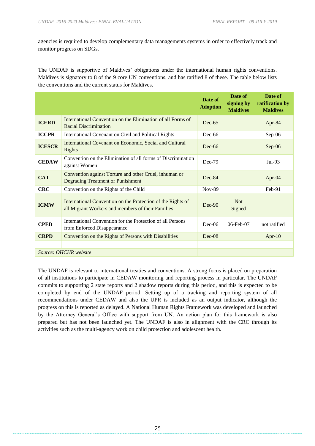*UNDAF 2016-2020 Maldives: FINAL EVALUATION FINAL REPORT – 09 JULY 2019*

agencies is required to develop complementary data managements systems in order to effectively track and monitor progress on SDGs.

The UNDAF is supportive of Maldives' obligations under the international human rights conventions. Maldives is signatory to 8 of the 9 core UN conventions, and has ratified 8 of these. The table below lists the conventions and the current status for Maldives.

|               |                                                                                                                  | Date of<br><b>Adoption</b> | Date of<br>signing by<br><b>Maldives</b> | Date of<br>ratification by<br><b>Maldives</b> |
|---------------|------------------------------------------------------------------------------------------------------------------|----------------------------|------------------------------------------|-----------------------------------------------|
| <b>ICERD</b>  | International Convention on the Elimination of all Forms of<br><b>Racial Discrimination</b>                      | $Dec-65$                   |                                          | Apr-84                                        |
| <b>ICCPR</b>  | International Covenant on Civil and Political Rights                                                             | $Dec-66$                   |                                          | Sep-06                                        |
| <b>ICESCR</b> | International Covenant on Economic, Social and Cultural<br>Rights                                                | $Dec-66$                   |                                          | Sep-06                                        |
| <b>CEDAW</b>  | Convention on the Elimination of all forms of Discrimination<br>against Women                                    | Dec-79                     |                                          | $Jul-93$                                      |
| <b>CAT</b>    | Convention against Torture and other Cruel, inhuman or<br><b>Degrading Treatment or Punishment</b>               | $Dec-84$                   |                                          | Apr-04                                        |
| <b>CRC</b>    | Convention on the Rights of the Child                                                                            | <b>Nov-89</b>              |                                          | Feb-91                                        |
| <b>ICMW</b>   | International Convention on the Protection of the Rights of<br>all Migrant Workers and members of their Families | $Dec-90$                   | <b>Not</b><br>Signed                     |                                               |
| <b>CPED</b>   | International Convention for the Protection of all Persons<br>from Enforced Disappearance                        | $Dec-06$                   | 06-Feb-07                                | not ratified                                  |
| <b>CRPD</b>   | Convention on the Rights of Persons with Disabilities                                                            | $Dec-08$                   |                                          | Apr- $10$                                     |
|               |                                                                                                                  |                            |                                          |                                               |
|               | Source: OHCHR website                                                                                            |                            |                                          |                                               |

The UNDAF is relevant to international treaties and conventions. A strong focus is placed on preparation of all institutions to participate in CEDAW monitoring and reporting process in particular. The UNDAF commits to supporting 2 state reports and 2 shadow reports during this period, and this is expected to be completed by end of the UNDAF period. Setting up of a tracking and reporting system of all recommendations under CEDAW and also the UPR is included as an output indicator, although the progress on this is reported as delayed. A National Human Rights Framework was developed and launched by the Attorney General's Office with support from UN. An action plan for this framework is also prepared but has not been launched yet. The UNDAF is also in alignment with the CRC through its activities such as the multi-agency work on child protection and adolescent health.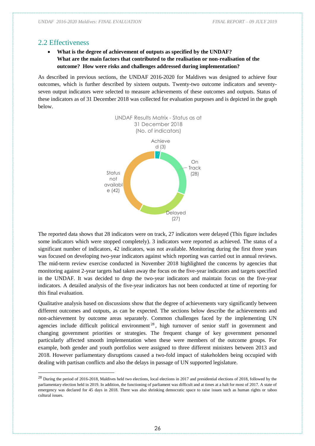### <span id="page-25-0"></span>2.2 Effectiveness

-

### • **What is the degree of achievement of outputs as specified by the UNDAF? What are the main factors that contributed to the realisation or non-realisation of the outcome? How were risks and challenges addressed during implementation?**

As described in previous sections, the UNDAF 2016-2020 for Maldives was designed to achieve four outcomes, which is further described by sixteen outputs. Twenty-two outcome indicators and seventyseven output indicators were selected to measure achievements of these outcomes and outputs. Status of these indicators as of 31 December 2018 was collected for evaluation purposes and is depicted in the graph below.



The reported data shows that 28 indicators were on track, 27 indicators were delayed (This figure includes some indicators which were stopped completely). 3 indicators were reported as achieved. The status of a significant number of indicators, 42 indicators, was not available. Monitoring during the first three years was focused on developing two-year indicators against which reporting was carried out in annual reviews. The mid-term review exercise conducted in November 2018 highlighted the concerns by agencies that monitoring against 2-year targets had taken away the focus on the five-year indicators and targets specified in the UNDAF. It was decided to drop the two-year indicators and maintain focus on the five-year indicators. A detailed analysis of the five-year indicators has not been conducted at time of reporting for this final evaluation.

Qualitative analysis based on discussions show that the degree of achievements vary significantly between different outcomes and outputs, as can be expected. The sections below describe the achievements and non-achievement by outcome areas separately. Common challenges faced by the implementing UN agencies include difficult political environment <sup>28</sup> , high turnover of senior staff in government and changing government priorities or strategies. The frequent change of key government personnel particularly affected smooth implementation when these were members of the outcome groups. For example, both gender and youth portfolios were assigned to three different ministers between 2013 and 2018. However parliamentary disruptions caused a two-fold impact of stakeholders being occupied with dealing with partisan conflicts and also the delays in passage of UN supported legislature.

<sup>&</sup>lt;sup>28</sup> During the period of 2016-2018, Maldives held two elections, local elections in 2017 and presidential elections of 2018, followed by the parliamentary election held in 2019. In addition, the functioning of parliament was difficult and at times at a halt for most of 2017. A state of emergency was declared for 45 days in 2018. There was also shrinking democratic space to raise issues such as human rights or taboo cultural issues.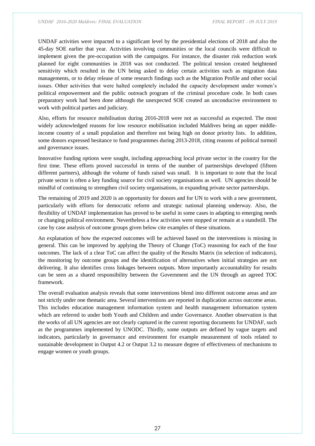*UNDAF 2016-2020 Maldives: FINAL EVALUATION FINAL REPORT – 09 JULY 2019*

UNDAF activities were impacted to a significant level by the presidential elections of 2018 and also the 45-day SOE earlier that year. Activities involving communities or the local councils were difficult to implement given the pre-occupation with the campaigns. For instance, the disaster risk reduction work planned for eight communities in 2018 was not conducted. The political tension created heightened sensitivity which resulted in the UN being asked to delay certain activities such as migration data managements, or to delay release of some research findings such as the Migration Profile and other social issues. Other activities that were halted completely included the capacity development under women's political empowerment and the public outreach program of the criminal procedure code. In both cases preparatory work had been done although the unexpected SOE created an unconducive environment to work with political parties and judiciary.

Also, efforts for resource mobilisation during 2016-2018 were not as successful as expected. The most widely acknowledged reasons for low resource mobilisation included Maldives being an upper middleincome country of a small population and therefore not being high on donor priority lists. In addition, some donors expressed hesitance to fund programmes during 2013-2018, citing reasons of political turmoil and governance issues.

Innovative funding options were sought, including approaching local private sector in the country for the first time. These efforts proved successful in terms of the number of partnerships developed (fifteen different partners), although the volume of funds raised was small. It is important to note that the local private sector is often a key funding source for civil society organisations as well. UN agencies should be mindful of continuing to strengthen civil society organisations, in expanding private sector partnerships.

The remaining of 2019 and 2020 is an opportunity for donors and for UN to work with a new government, particularly with efforts for democratic reform and strategic national planning underway. Also, the flexibility of UNDAF implementation has proved to be useful in some cases in adapting to emerging needs or changing political environment. Nevertheless a few activities were stopped or remain at a standstill. The case by case analysis of outcome groups given below cite examples of these situations.

An explanation of how the expected outcomes will be achieved based on the interventions is missing in general. This can be improved by applying the Theory of Change (ToC) reasoning for each of the four outcomes. The lack of a clear ToC can affect the quality of the Results Matrix (in selection of indicators), the monitoring by outcome groups and the identification of alternatives when initial strategies are not delivering. It also identifies cross linkages between outputs. More importantly accountability for results can be seen as a shared responsibility between the Government and the UN through an agreed TOC framework.

The overall evaluation analysis reveals that some interventions blend into different outcome areas and are not strictly under one thematic area. Several interventions are reported in duplication across outcome areas. This includes education management information system and health management information system which are referred to under both Youth and Children and under Governance. Another observation is that the works of all UN agencies are not clearly captured in the current reporting documents for UNDAF, such as the programmes implemented by UNODC. Thirdly, some outputs are defined by vague targets and indicators, particularly in governance and environment for example measurement of tools related to sustainable development in Output 4.2 or Output 3.2 to measure degree of effectiveness of mechanisms to engage women or youth groups.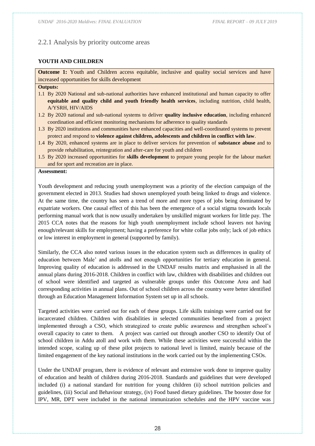### <span id="page-27-0"></span>2.2.1 Analysis by priority outcome areas

#### **YOUTH AND CHILDREN**

**Outcome 1:** Youth and Children access equitable, inclusive and quality social services and have increased opportunities for skills development

#### **Outputs:**

- 1.1 By 2020 National and sub-national authorities have enhanced institutional and human capacity to offer **equitable and quality child and youth friendly health services**, including nutrition, child health, A/YSRH, HIV/AIDS
- 1.2 By 2020 national and sub-national systems to deliver **quality inclusive education**, including enhanced coordination and efficient monitoring mechanisms for adherence to quality standards
- 1.3 By 2020 institutions and communities have enhanced capacities and well-coordinated systems to prevent protect and respond to **violence against children, adolescents and children in conflict with law**.
- 1.4 By 2020, enhanced systems are in place to deliver services for prevention of **substance abuse** and to provide rehabilitation, reintegration and after-care for youth and children
- 1.5 By 2020 increased opportunities for **skills development** to prepare young people for the labour market and for sport and recreation are in place.

#### **Assessment:**

Youth development and reducing youth unemployment was a priority of the election campaign of the government elected in 2013. Studies had shown unemployed youth being linked to drugs and violence. At the same time, the country has seen a trend of more and more types of jobs being dominated by expatriate workers. One causal effect of this has been the emergence of a social stigma towards locals performing manual work that is now usually undertaken by unskilled migrant workers for little pay. The 2015 CCA notes that the reasons for high youth unemployment include school leavers not having enough/relevant skills for employment; having a preference for white collar jobs only; lack of job ethics or low interest in employment in general (supported by family).

Similarly, the CCA also noted various issues in the education system such as differences in quality of education between Male' and atolls and not enough opportunities for tertiary education in general. Improving quality of education is addressed in the UNDAF results matrix and emphasised in all the annual plans during 2016-2018. Children in conflict with law, children with disabilities and children out of school were identified and targeted as vulnerable groups under this Outcome Area and had corresponding activities in annual plans. Out of school children across the country were better identified through an Education Management Information System set up in all schools.

Targeted activities were carried out for each of these groups. Life skills trainings were carried out for incarcerated children. Children with disabilities in selected communities benefited from a project implemented through a CSO, which strategized to create public awareness and strengthen school's overall capacity to cater to them. A project was carried out through another CSO to identify Out of school children in Addu atoll and work with them. While these activities were successful within the intended scope, scaling up of these pilot projects to national level is limited, mainly because of the limited engagement of the key national institutions in the work carried out by the implementing CSOs.

Under the UNDAF program, there is evidence of relevant and extensive work done to improve quality of education and health of children during 2016-2018. Standards and guidelines that were developed included (i) a national standard for nutrition for young children (ii) school nutrition policies and guidelines, (iii) Social and Behaviour strategy, (iv) Food based dietary guidelines. The booster dose for IPV, MR, DPT were included in the national immunization schedules and the HPV vaccine was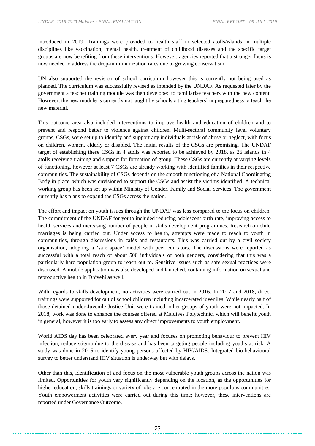introduced in 2019. Trainings were provided to health staff in selected atolls/islands in multiple disciplines like vaccination, mental health, treatment of childhood diseases and the specific target groups are now benefiting from these interventions. However, agencies reported that a stronger focus is now needed to address the drop-in immunization rates due to growing conservatism.

UN also supported the revision of school curriculum however this is currently not being used as planned. The curriculum was successfully revised as intended by the UNDAF. As requested later by the government a teacher training module was then developed to familiarise teachers with the new content. However, the new module is currently not taught by schools citing teachers' unpreparedness to teach the new material.

This outcome area also included interventions to improve health and education of children and to prevent and respond better to violence against children. Multi-sectoral community level voluntary groups, CSGs, were set up to identify and support any individuals at risk of abuse or neglect, with focus on children, women, elderly or disabled. The initial results of the CSGs are promising. The UNDAF target of establishing these CSGs in 4 atolls was reported to be achieved by 2018, as 26 islands in 4 atolls receiving training and support for formation of group. These CSGs are currently at varying levels of functioning, however at least 7 CSGs are already working with identified families in their respective communities. The sustainability of CSGs depends on the smooth functioning of a National Coordinating Body in place, which was envisioned to support the CSGs and assist the victims identified. A technical working group has been set up within Ministry of Gender, Family and Social Services. The government currently has plans to expand the CSGs across the nation.

The effort and impact on youth issues through the UNDAF was less compared to the focus on children. The commitment of the UNDAF for youth included reducing adolescent birth rate, improving access to health services and increasing number of people in skills development programmes. Research on child marriages is being carried out. Under access to health, attempts were made to reach to youth in communities, through discussions in cafés and restaurants. This was carried out by a civil society organisation, adopting a 'safe space' model with peer educators. The discussions were reported as successful with a total reach of about 500 individuals of both genders, considering that this was a particularly hard population group to reach out to. Sensitive issues such as safe sexual practices were discussed. A mobile application was also developed and launched, containing information on sexual and reproductive health in Dhivehi as well.

With regards to skills development, no activities were carried out in 2016. In 2017 and 2018, direct trainings were supported for out of school children including incarcerated juveniles. While nearly half of those detained under Juvenile Justice Unit were trained, other groups of youth were not impacted. In 2018, work was done to enhance the courses offered at Maldives Polytechnic, which will benefit youth in general, however it is too early to assess any direct improvements to youth employment.

World AIDS day has been celebrated every year and focuses on promoting behaviour to prevent HIV infection, reduce stigma due to the disease and has been targeting people including youths at risk. A study was done in 2016 to identify young persons affected by HIV/AIDS. Integrated bio-behavioural survey to better understand HIV situation is underway but with delays.

Other than this, identification of and focus on the most vulnerable youth groups across the nation was limited. Opportunities for youth vary significantly depending on the location, as the opportunities for higher education, skills trainings or variety of jobs are concentrated in the more populous communities. Youth empowerment activities were carried out during this time; however, these interventions are reported under Governance Outcome.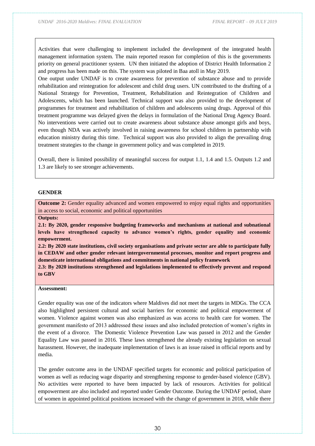Activities that were challenging to implement included the development of the integrated health management information system. The main reported reason for completion of this is the governments priority on general practitioner system. UN then initiated the adoption of District Health Information 2 and progress has been made on this. The system was piloted in Baa atoll in May 2019.

One output under UNDAF is to create awareness for prevention of substance abuse and to provide rehabilitation and reintegration for adolescent and child drug users. UN contributed to the drafting of a National Strategy for Prevention, Treatment, Rehabilitation and Reintegration of Children and Adolescents, which has been launched. Technical support was also provided to the development of programmes for treatment and rehabilitation of children and adolescents using drugs. Approval of this treatment programme was delayed given the delays in formulation of the National Drug Agency Board. No interventions were carried out to create awareness about substance abuse amongst girls and boys, even though NDA was actively involved in raising awareness for school children in partnership with education ministry during this time. Technical support was also provided to align the prevailing drug treatment strategies to the change in government policy and was completed in 2019.

Overall, there is limited possibility of meaningful success for output 1.1, 1.4 and 1.5. Outputs 1.2 and 1.3 are likely to see stronger achievements.

#### **GENDER**

**Outcome 2:** Gender equality advanced and women empowered to enjoy equal rights and opportunities in access to social, economic and political opportunities

**Outputs:** 

**2.1: By 2020, gender responsive budgeting frameworks and mechanisms at national and subnational levels have strengthened capacity to advance women's rights, gender equality and economic empowerment.** 

**2.2: By 2020 state institutions, civil society organisations and private sector are able to participate fully in CEDAW and other gender relevant intergovernmental processes, monitor and report progress and domesticate international obligations and commitments in national policy framework**

**2.3: By 2020 institutions strengthened and legislations implemented to effectively prevent and respond to GBV**

#### **Assessment:**

Gender equality was one of the indicators where Maldives did not meet the targets in MDGs. The CCA also highlighted persistent cultural and social barriers for economic and political empowerment of women. Violence against women was also emphasized as was access to health care for women. The government manifesto of 2013 addressed these issues and also included protection of women's rights in the event of a divorce. The Domestic Violence Prevention Law was passed in 2012 and the Gender Equality Law was passed in 2016. These laws strengthened the already existing legislation on sexual harassment. However, the inadequate implementation of laws is an issue raised in official reports and by media.

The gender outcome area in the UNDAF specified targets for economic and political participation of women as well as reducing wage disparity and strengthening response to gender-based violence (GBV). No activities were reported to have been impacted by lack of resources. Activities for political empowerment are also included and reported under Gender Outcome. During the UNDAF period, share of women in appointed political positions increased with the change of government in 2018, while there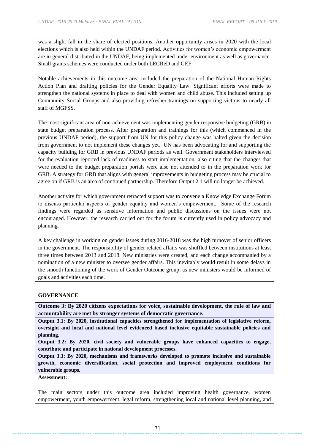was a slight fall in the share of elected positions. Another opportunity arises in 2020 with the local elections which is also held within the UNDAF period. Activities for women's economic empowerment are in general distributed in the UNDAF, being implemented under environment as well as governance. Small grants schemes were conducted under both LECReD and GEF.

Notable achievements in this outcome area included the preparation of the National Human Rights Action Plan and drafting policies for the Gender Equality Law. Significant efforts were made to strengthen the national systems in place to deal with women and child abuse. This included setting up Community Social Groups and also providing refresher trainings on supporting victims to nearly all staff of MGFSS.

The most significant area of non-achievement was implementing gender responsive budgeting (GRB) in state budget preparation process. After preparation and trainings for this (which commenced in the previous UNDAF period), the support from UN for this policy change was halted given the decision from government to not implement these changes yet. UN has been advocating for and supporting the capacity building for GRB in previous UNDAF periods as well. Government stakeholders interviewed for the evaluation reported lack of readiness to start implementation, also citing that the changes that were needed to the budget preparation portals were also not attended to in the preparation work for GRB. A strategy for GRB that aligns with general improvements in budgeting process may be crucial to agree on if GRB is an area of continued partnership. Therefore Output 2.1 will no longer be achieved.

Another activity for which government retracted support was to convene a Knowledge Exchange Forum to discuss particular aspects of gender equality and women's empowerment. Some of the research findings were regarded as sensitive information and public discussions on the issues were not encouraged. However, the research carried out for the forum is currently used in policy advocacy and planning.

A key challenge in working on gender issues during 2016-2018 was the high turnover of senior officers in the government. The responsibility of gender related affairs was shuffled between institutions at least three times between 2013 and 2018. New ministries were created, and each change accompanied by a nomination of a new minister to oversee gender affairs. This inevitably would result in some delays in the smooth functioning of the work of Gender Outcome group, as new ministers would be informed of goals and activities each time.

#### **GOVERNANCE**

**Outcome 3: By 2020 citizens expectations for voice, sustainable development, the rule of law and accountability are met by stronger systems of democratic governance.** 

**Output 3.1: By 2020, institutional capacities strengthened for implementation of legislative reform, oversight and local and national level evidenced based inclusive equitable sustainable policies and planning.** 

**Output 3.2: By 2020, civil society and vulnerable groups have enhanced capacities to engage, contribute and participate in national development processes.** 

**Output 3.3: By 2020, mechanisms and frameworks developed to promote inclusive and sustainable growth, economic diversification, social protection and improved employment conditions for vulnerable groups.** 

**Assessment:** 

The main sectors under this outcome area included improving health governance, women empowerment, youth empowerment, legal reform, strengthening local and national level planning, and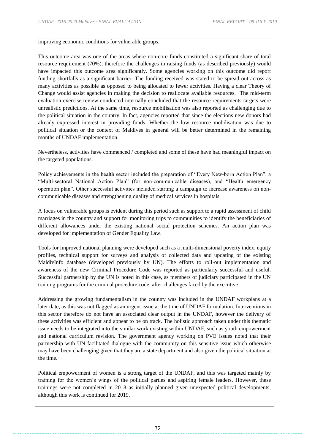improving economic conditions for vulnerable groups.

This outcome area was one of the areas where non-core funds constituted a significant share of total resource requirement (70%), therefore the challenges in raising funds (as described previously) would have impacted this outcome area significantly. Some agencies working on this outcome did report funding shortfalls as a significant barrier. The funding received was stated to be spread out across as many activities as possible as opposed to being allocated to fewer activities. Having a clear Theory of Change would assist agencies in making the decision to reallocate available resources. The mid-term evaluation exercise review conducted internally concluded that the resource requirements targets were unrealistic predictions. At the same time, resource mobilisation was also reported as challenging due to the political situation in the country. In fact, agencies reported that since the elections new donors had already expressed interest in providing funds. Whether the low resource mobilisation was due to political situation or the context of Maldives in general will be better determined in the remaining months of UNDAF implementation.

Nevertheless, activities have commenced / completed and some of these have had meaningful impact on the targeted populations.

Policy achievements in the health sector included the preparation of "Every New-born Action Plan", a "Multi-sectoral National Action Plan" (for non-communicable diseases), and "Health emergency operation plan". Other successful activities included starting a campaign to increase awareness on noncommunicable diseases and strengthening quality of medical services in hospitals.

A focus on vulnerable groups is evident during this period such as support to a rapid assessment of child marriages in the country and support for monitoring trips to communities to identify the beneficiaries of different allowances under the existing national social protection schemes. An action plan was developed for implementation of Gender Equality Law.

Tools for improved national planning were developed such as a multi-dimensional poverty index, equity profiles, technical support for surveys and analysis of collected data and updating of the existing MaldivInfo database (developed previously by UN). The efforts to roll-out implementation and awareness of the new Criminal Procedure Code was reported as particularly successful and useful. Successful partnership by the UN is noted in this case, as members of judiciary participated in the UN training programs for the criminal procedure code, after challenges faced by the executive.

Addressing the growing fundamentalism in the country was included in the UNDAF workplans at a later date, as this was not flagged as an urgent issue at the time of UNDAF formulation. Interventions in this sector therefore do not have an associated clear output in the UNDAF, however the delivery of these activities was efficient and appear to be on track. The holistic approach taken under this thematic issue needs to be integrated into the similar work existing within UNDAF, such as youth empowerment and national curriculum revision. The government agency working on PVE issues noted that their partnership with UN facilitated dialogue with the community on this sensitive issue which otherwise may have been challenging given that they are a state department and also given the political situation at the time.

Political empowerment of women is a strong target of the UNDAF, and this was targeted mainly by training for the women's wings of the political parties and aspiring female leaders. However, these trainings were not completed in 2018 as initially planned given unexpected political developments, although this work is continued for 2019.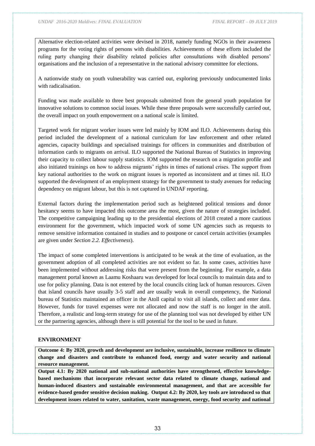Alternative election-related activities were devised in 2018, namely funding NGOs in their awareness programs for the voting rights of persons with disabilities. Achievements of these efforts included the ruling party changing their disability related policies after consultations with disabled persons' organisations and the inclusion of a representative in the national advisory committee for elections.

A nationwide study on youth vulnerability was carried out, exploring previously undocumented links with radicalisation.

Funding was made available to three best proposals submitted from the general youth population for innovative solutions to common social issues. While these three proposals were successfully carried out, the overall impact on youth empowerment on a national scale is limited.

Targeted work for migrant worker issues were led mainly by IOM and ILO. Achievements during this period included the development of a national curriculum for law enforcement and other related agencies, capacity buildings and specialised trainings for officers in communities and distribution of information cards to migrants on arrival. ILO supported the National Bureau of Statistics in improving their capacity to collect labour supply statistics. IOM supported the research on a migration profile and also initiated trainings on how to address migrants' rights in times of national crises. The support from key national authorities to the work on migrant issues is reported as inconsistent and at times nil. ILO supported the development of an employment strategy for the government to study avenues for reducing dependency on migrant labour, but this is not captured in UNDAF reporting.

External factors during the implementation period such as heightened political tensions and donor hesitancy seems to have impacted this outcome area the most, given the nature of strategies included. The competitive campaigning leading up to the presidential elections of 2018 created a more cautious environment for the government, which impacted work of some UN agencies such as requests to remove sensitive information contained in studies and to postpone or cancel certain activities (examples are given under *Section 2.2. Effectiveness*).

The impact of some completed interventions is anticipated to be weak at the time of evaluation, as the government adoption of all completed activities are not evident so far. In some cases, activities have been implemented without addressing risks that were present from the beginning. For example, a data management portal known as Laamu Koshaaru was developed for local councils to maintain data and to use for policy planning. Data is not entered by the local councils citing lack of human resources. Given that island councils have usually 3-5 staff and are usually weak in overall competency, the National bureau of Statistics maintained an officer in the Atoll capital to visit all islands, collect and enter data. However, funds for travel expenses were not allocated and now the staff is no longer in the atoll. Therefore, a realistic and long-term strategy for use of the planning tool was not developed by either UN or the partnering agencies, although there is still potential for the tool to be used in future.

#### **ENVIRONMENT**

**Outcome 4: By 2020, growth and development are inclusive, sustainable, increase resilience to climate change and disasters and contribute to enhanced food, energy and water security and national resource management.** 

**Output 4.1: By 2020 national and sub-national authorities have strengthened, effective knowledgebased mechanisms that incorporate relevant sector data related to climate change, national and human-induced disasters and sustainable environmental management, and that are accessible for evidence-based gender sensitive decision making. Output 4.2: By 2020, key tools are introduced so that development issues related to water, sanitation, waste management, energy, food security and national**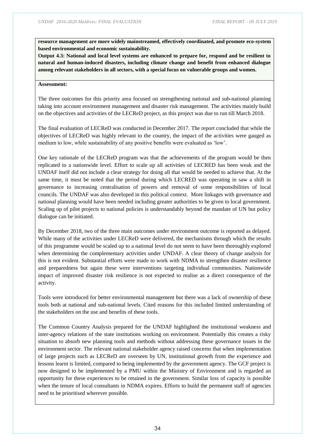**resource management are more widely mainstreamed, effectively coordinated, and promote eco-system based environmental and economic sustainability.** 

**Output 4.3: National and local level systems are enhanced to prepare for, respond and be resilient to natural and human-induced disasters, including climate change and benefit from enhanced dialogue among relevant stakeholders in all sectors, with a special focus on vulnerable groups and women.** 

#### **Assessment:**

The three outcomes for this priority area focused on strengthening national and sub-national planning taking into account environment management and disaster risk management. The activities mainly build on the objectives and activities of the LECReD project, as this project was due to run till March 2018.

The final evaluation of LECReD was conducted in December 2017. The report concluded that while the objectives of LECReD was highly relevant to the country, the impact of the activities were gauged as medium to low, while sustainability of any positive benefits were evaluated as 'low'.

One key rationale of the LECReD program was that the achievements of the program would be then replicated to a nationwide level. Effort to scale up all activities of LECRED has been weak and the UNDAF itself did not include a clear strategy for doing all that would be needed to achieve that. At the same time, it must be noted that the period during which LECRED was operating in saw a shift in governance to increasing centralisation of powers and removal of some responsibilities of local councils. The UNDAF was also developed in this political context. More linkages with governance and national planning would have been needed including greater authorities to be given to local government. Scaling up of pilot projects to national policies is understandably beyond the mandate of UN but policy dialogue can be initiated.

By December 2018, two of the three main outcomes under environment outcome is reported as delayed. While many of the activities under LECReD were delivered, the mechanisms through which the results of this programme would be scaled up to a national level do not seem to have been thoroughly explored when determining the complementary activities under UNDAF. A clear theory of change analysis for this is not evident. Substantial efforts were made to work with NDMA to strengthen disaster resilience and preparedness but again these were interventions targeting individual communities. Nationwide impact of improved disaster risk resilience is not expected to realise as a direct consequence of the activity.

Tools were introduced for better environmental management but there was a lack of ownership of these tools both at national and sub-national levels. Cited reasons for this included limited understanding of the stakeholders on the use and benefits of these tools.

The Common Country Analysis prepared for the UNDAF highlighted the institutional weakness and inter-agency relations of the state institutions working on environment. Potentially this creates a risky situation to absorb new planning tools and methods without addressing these governance issues in the environment sector. The relevant national stakeholder agency raised concerns that when implementation of large projects such as LECReD are overseen by UN, institutional growth from the experience and lessons learnt is limited, compared to being implemented by the government agency. The GCF project is now designed to be implemented by a PMU within the Ministry of Environment and is regarded an opportunity for these experiences to be retained in the government. Similar loss of capacity is possible when the tenure of local consultants in NDMA expires. Efforts to build the permanent staff of agencies need to be prioritised wherever possible.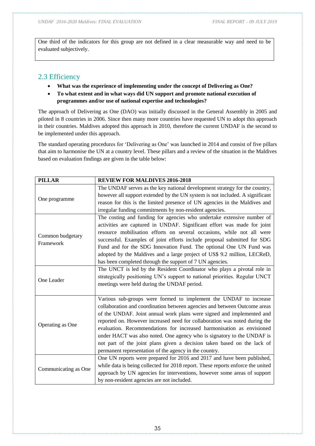One third of the indicators for this group are not defined in a clear measurable way and need to be evaluated subjectively.

# <span id="page-34-0"></span>2.3 Efficiency

- **What was the experience of implementing under the concept of Delivering as One?**
- **To what extent and in what ways did UN support and promote national execution of programmes and/or use of national expertise and technologies?**

The approach of Delivering as One (DAO) was initially discussed in the General Assembly in 2005 and piloted in 8 countries in 2006. Since then many more countries have requested UN to adopt this approach in their countries. Maldives adopted this approach in 2010, therefore the current UNDAF is the second to be implemented under this approach.

The standard operating procedures for 'Delivering as One' was launched in 2014 and consist of five pillars that aim to harmonise the UN at a country level. These pillars and a review of the situation in the Maldives based on evaluation findings are given in the table below:

| <b>PILLAR</b>        | <b>REVIEW FOR MALDIVES 2016-2018</b>                                            |
|----------------------|---------------------------------------------------------------------------------|
|                      | The UNDAF serves as the key national development strategy for the country,      |
| One programme        | however all support extended by the UN system is not included. A significant    |
|                      | reason for this is the limited presence of UN agencies in the Maldives and      |
|                      | irregular funding commitments by non-resident agencies.                         |
|                      | The costing and funding for agencies who undertake extensive number of          |
|                      | activities are captured in UNDAF. Significant effort was made for joint         |
| Common budgetary     | resource mobilisation efforts on several occasions, while not all were          |
| Framework            | successful. Examples of joint efforts include proposal submitted for SDG        |
|                      | Fund and for the SDG Innovation Fund. The optional One UN Fund was              |
|                      | adopted by the Maldives and a large project of US\$ 9.2 million, LECReD,        |
|                      | has been completed through the support of 7 UN agencies.                        |
|                      | The UNCT is led by the Resident Coordinator who plays a pivotal role in         |
| One Leader           | strategically positioning UN's support to national priorities. Regular UNCT     |
|                      | meetings were held during the UNDAF period.                                     |
|                      |                                                                                 |
|                      | Various sub-groups were formed to implement the UNDAF to increase               |
|                      | collaboration and coordination between agencies and between Outcome areas       |
|                      | of the UNDAF. Joint annual work plans were signed and implemented and           |
| Operating as One     | reported on. However increased need for collaboration was noted during the      |
|                      | evaluation. Recommendations for increased harmonisation as envisioned           |
|                      | under HACT was also noted. One agency who is signatory to the UNDAF is          |
|                      | not part of the joint plans given a decision taken based on the lack of         |
|                      | permanent representation of the agency in the country.                          |
|                      | One UN reports were prepared for 2016 and 2017 and have been published,         |
| Communicating as One | while data is being collected for 2018 report. These reports enforce the united |
|                      | approach by UN agencies for interventions, however some areas of support        |
|                      | by non-resident agencies are not included.                                      |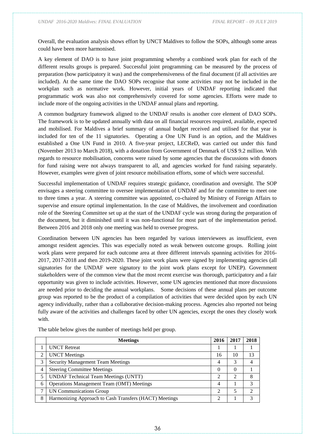Overall, the evaluation analysis shows effort by UNCT Maldives to follow the SOPs, although some areas could have been more harmonised.

A key element of DAO is to have joint programming whereby a combined work plan for each of the different results groups is prepared. Successful joint programming can be measured by the process of preparation (how participatory it was) and the comprehensiveness of the final document (if all activities are included). At the same time the DAO SOPs recognise that some activities may not be included in the workplan such as normative work. However, initial years of UNDAF reporting indicated that programmatic work was also not comprehensively covered for some agencies. Efforts were made to include more of the ongoing activities in the UNDAF annual plans and reporting.

A common budgetary framework aligned to the UNDAF results is another core element of DAO SOPs. The framework is to be updated annually with data on all financial resources required, available, expected and mobilised. For Maldives a brief summary of annual budget received and utilised for that year is included for ten of the 11 signatories. Operating a One UN Fund is an option, and the Maldives established a One UN Fund in 2010. A five-year project, LECReD, was carried out under this fund (November 2013 to March 2018), with a donation from Government of Denmark of US\$ 9.2 million. With regards to resource mobilisation, concerns were raised by some agencies that the discussions with donors for fund raising were not always transparent to all, and agencies worked for fund raising separately. However, examples were given of joint resource mobilisation efforts, some of which were successful.

Successful implementation of UNDAF requires strategic guidance, coordination and oversight. The SOP envisages a steering committee to oversee implementation of UNDAF and for the committee to meet one to three times a year. A steering committee was appointed, co-chaired by Ministry of Foreign Affairs to supervise and ensure optimal implementation. In the case of Maldives, the involvement and coordination role of the Steering Committee set up at the start of the UNDAF cycle was strong during the preparation of the document, but it diminished until it was non-functional for most part of the implementation period. Between 2016 and 2018 only one meeting was held to oversee progress.

Coordination between UN agencies has been regarded by various interviewees as insufficient, even amongst resident agencies. This was especially noted as weak between outcome groups. Rolling joint work plans were prepared for each outcome area at three different intervals spanning activities for 2016- 2017, 2017-2018 and then 2019-2020. These joint work plans were signed by implementing agencies (all signatories for the UNDAF were signatory to the joint work plans except for UNEP). Government stakeholders were of the common view that the most recent exercise was thorough, participatory and a fair opportunity was given to include activities. However, some UN agencies mentioned that more discussions are needed prior to deciding the annual workplans. Some decisions of these annual plans per outcome group was reported to be the product of a compilation of activities that were decided upon by each UN agency individually, rather than a collaborative decision-making process. Agencies also reported not being fully aware of the activities and challenges faced by other UN agencies, except the ones they closely work with.

|   | <b>Meetings</b>                                        | 2016 | 2017 | 2018 |
|---|--------------------------------------------------------|------|------|------|
|   | <b>UNCT</b> Retreat                                    |      |      |      |
| 2 | <b>UNCT</b> Meetings                                   | 16   | 10   | 13   |
| 3 | <b>Security Management Team Meetings</b>               | 4    |      | 4    |
| 4 | <b>Steering Committee Meetings</b>                     | 0    | 0    |      |
| 5 | <b>UNDAF Technical Team Meetings (UNTT)</b>            |      | C    | 8    |
| 6 | <b>Operations Management Team (OMT) Meetings</b>       | 4    |      | 3    |
| 7 | UN Communications Group                                | ↑    | 5    | ↑    |
| 8 | Harmonizing Approach to Cash Transfers (HACT) Meetings |      |      | 3    |

The table below gives the number of meetings held per group.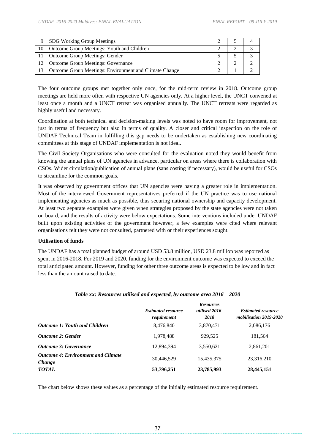*UNDAF 2016-2020 Maldives: FINAL EVALUATION FINAL REPORT – 09 JULY 2019*

| $\mathbf Q$ | SDG Working Group Meetings                                  |  |  |
|-------------|-------------------------------------------------------------|--|--|
|             | 10   Outcome Group Meetings: Youth and Children             |  |  |
|             | 11   Outcome Group Meetings: Gender                         |  |  |
|             | 12   Outcome Group Meetings: Governance                     |  |  |
|             | 13   Outcome Group Meetings: Environment and Climate Change |  |  |

The four outcome groups met together only once, for the mid-term review in 2018. Outcome group meetings are held more often with respective UN agencies only. At a higher level, the UNCT convened at least once a month and a UNCT retreat was organised annually. The UNCT retreats were regarded as highly useful and necessary.

Coordination at both technical and decision-making levels was noted to have room for improvement, not just in terms of frequency but also in terms of quality. A closer and critical inspection on the role of UNDAF Technical Team in fulfilling this gap needs to be undertaken as establishing new coordinating committees at this stage of UNDAF implementation is not ideal.

The Civil Society Organisations who were consulted for the evaluation noted they would benefit from knowing the annual plans of UN agencies in advance, particular on areas where there is collaboration with CSOs. Wider circulation/publication of annual plans (sans costing if necessary), would be useful for CSOs to streamline for the common goals.

It was observed by government offices that UN agencies were having a greater role in implementation. Most of the interviewed Government representatives preferred if the UN practice was to use national implementing agencies as much as possible, thus securing national ownership and capacity development. At least two separate examples were given when strategies proposed by the state agencies were not taken on board, and the results of activity were below expectations. Some interventions included under UNDAF built upon existing activities of the government however, a few examples were cited where relevant organisations felt they were not consulted, partnered with or their experiences sought.

#### **Utilisation of funds**

The UNDAF has a total planned budget of around USD 53.8 million, USD 23.8 million was reported as spent in 2016-2018. For 2019 and 2020, funding for the environment outcome was expected to exceed the total anticipated amount. However, funding for other three outcome areas is expected to be low and in fact less than the amount raised to date.

|                                              | <b>Estimated resource</b><br>requirement | <b>Resources</b><br>utilised 2016-<br>2018 | <b>Estimated resource</b><br>mobilisation 2019-2020 |
|----------------------------------------------|------------------------------------------|--------------------------------------------|-----------------------------------------------------|
| Outcome 1: Youth and Children                | 8,476,840                                | 3,870,471                                  | 2,086,176                                           |
| Outcome 2: Gender                            | 1,978,488                                | 929,525                                    | 181,564                                             |
| <b>Outcome 3: Governance</b>                 | 12,894,394                               | 3,550,621                                  | 2,861,201                                           |
| Outcome 4: Environment and Climate<br>Change | 30,446,529                               | 15,435,375                                 | 23,316,210                                          |
| TOTAL                                        | 53,796,251                               | 23,785,993                                 | 28,445,151                                          |

#### *Table xx: Resources utilised and expected, by outcome area 2016 – 2020*

The chart below shows these values as a percentage of the initially estimated resource requirement.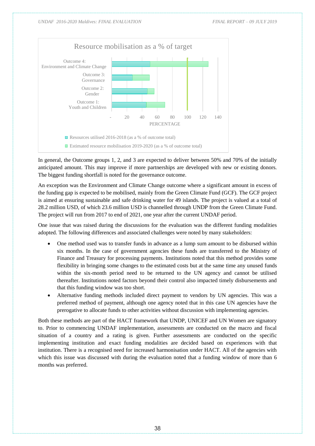

In general, the Outcome groups 1, 2, and 3 are expected to deliver between 50% and 70% of the initially anticipated amount. This may improve if more partnerships are developed with new or existing donors. The biggest funding shortfall is noted for the governance outcome.

An exception was the Environment and Climate Change outcome where a significant amount in excess of the funding gap is expected to be mobilised, mainly from the Green Climate Fund (GCF). The GCF project is aimed at ensuring sustainable and safe drinking water for 49 islands. The project is valued at a total of 28.2 million USD, of which 23.6 million USD is channelled through UNDP from the Green Climate Fund. The project will run from 2017 to end of 2021, one year after the current UNDAF period.

One issue that was raised during the discussions for the evaluation was the different funding modalities adopted. The following differences and associated challenges were noted by many stakeholders:

- One method used was to transfer funds in advance as a lump sum amount to be disbursed within six months. In the case of government agencies these funds are transferred to the Ministry of Finance and Treasury for processing payments. Institutions noted that this method provides some flexibility in bringing some changes to the estimated costs but at the same time any unused funds within the six-month period need to be returned to the UN agency and cannot be utilised thereafter. Institutions noted factors beyond their control also impacted timely disbursements and that this funding window was too short.
- Alternative funding methods included direct payment to vendors by UN agencies. This was a preferred method of payment, although one agency noted that in this case UN agencies have the prerogative to allocate funds to other activities without discussion with implementing agencies.

Both these methods are part of the HACT framework that UNDP, UNICEF and UN Women are signatory to. Prior to commencing UNDAF implementation, assessments are conducted on the macro and fiscal situation of a country and a rating is given. Further assessments are conducted on the specific implementing institution and exact funding modalities are decided based on experiences with that institution. There is a recognised need for increased harmonisation under HACT. All of the agencies with which this issue was discussed with during the evaluation noted that a funding window of more than 6 months was preferred.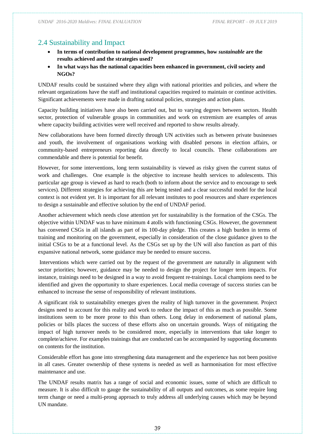## <span id="page-38-0"></span>2.4 Sustainability and Impact

- **In terms of contribution to national development programmes, how** *sustainable* **are the results achieved and the strategies used?**
- **In what ways has the national capacities been enhanced in government, civil society and NGOs?**

UNDAF results could be sustained where they align with national priorities and policies, and where the relevant organizations have the staff and institutional capacities required to maintain or continue activities. Significant achievements were made in drafting national policies, strategies and action plans.

Capacity building initiatives have also been carried out, but to varying degrees between sectors. Health sector, protection of vulnerable groups in communities and work on extremism are examples of areas where capacity building activities were well received and reported to show results already.

New collaborations have been formed directly through UN activities such as between private businesses and youth, the involvement of organisations working with disabled persons in election affairs, or community-based entrepreneurs reporting data directly to local councils. These collaborations are commendable and there is potential for benefit.

However, for some interventions, long term sustainability is viewed as risky given the current status of work and challenges. One example is the objective to increase health services to adolescents. This particular age group is viewed as hard to reach (both to inform about the service and to encourage to seek services). Different strategies for achieving this are being tested and a clear successful model for the local context is not evident yet. It is important for all relevant institutes to pool resources and share experiences to design a sustainable and effective solution by the end of UNDAF period.

Another achievement which needs close attention yet for sustainability is the formation of the CSGs. The objective within UNDAF was to have minimum 4 atolls with functioning CSGs. However, the government has convened CSGs in all islands as part of its 100-day pledge. This creates a high burden in terms of training and monitoring on the government, especially in consideration of the close guidance given to the initial CSGs to be at a functional level. As the CSGs set up by the UN will also function as part of this expansive national network, some guidance may be needed to ensure success.

Interventions which were carried out by the request of the government are naturally in alignment with sector priorities; however, guidance may be needed to design the project for longer term impacts. For instance, trainings need to be designed in a way to avoid frequent re-trainings. Local champions need to be identified and given the opportunity to share experiences. Local media coverage of success stories can be enhanced to increase the sense of responsibility of relevant institutions.

A significant risk to sustainability emerges given the reality of high turnover in the government. Project designs need to account for this reality and work to reduce the impact of this as much as possible. Some institutions seem to be more prone to this than others. Long delay in endorsement of national plans, policies or bills places the success of these efforts also on uncertain grounds. Ways of mitigating the impact of high turnover needs to be considered more, especially in interventions that take longer to complete/achieve. For examples trainings that are conducted can be accompanied by supporting documents on contents for the institution.

Considerable effort has gone into strengthening data management and the experience has not been positive in all cases. Greater ownership of these systems is needed as well as harmonisation for most effective maintenance and use.

The UNDAF results matrix has a range of social and economic issues, some of which are difficult to measure. It is also difficult to gauge the sustainability of all outputs and outcomes, as some require long term change or need a multi-prong approach to truly address all underlying causes which may be beyond UN mandate.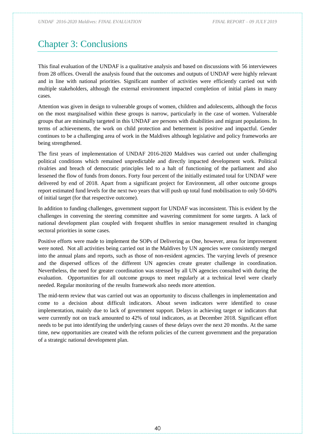# <span id="page-39-0"></span>Chapter 3: Conclusions

This final evaluation of the UNDAF is a qualitative analysis and based on discussions with 56 interviewees from 28 offices. Overall the analysis found that the outcomes and outputs of UNDAF were highly relevant and in line with national priorities. Significant number of activities were efficiently carried out with multiple stakeholders, although the external environment impacted completion of initial plans in many cases.

Attention was given in design to vulnerable groups of women, children and adolescents, although the focus on the most marginalised within these groups is narrow, particularly in the case of women. Vulnerable groups that are minimally targeted in this UNDAF are persons with disabilities and migrant populations. In terms of achievements, the work on child protection and betterment is positive and impactful. Gender continues to be a challenging area of work in the Maldives although legislative and policy frameworks are being strengthened.

The first years of implementation of UNDAF 2016-2020 Maldives was carried out under challenging political conditions which remained unpredictable and directly impacted development work. Political rivalries and breach of democratic principles led to a halt of functioning of the parliament and also lessened the flow of funds from donors. Forty four percent of the initially estimated total for UNDAF were delivered by end of 2018. Apart from a significant project for Environment, all other outcome groups report estimated fund levels for the next two years that will push up total fund mobilisation to only 50-60% of initial target (for that respective outcome).

In addition to funding challenges, government support for UNDAF was inconsistent. This is evident by the challenges in convening the steering committee and wavering commitment for some targets. A lack of national development plan coupled with frequent shuffles in senior management resulted in changing sectoral priorities in some cases.

Positive efforts were made to implement the SOPs of Delivering as One, however, areas for improvement were noted. Not all activities being carried out in the Maldives by UN agencies were consistently merged into the annual plans and reports, such as those of non-resident agencies. The varying levels of presence and the dispersed offices of the different UN agencies create greater challenge in coordination. Nevertheless, the need for greater coordination was stressed by all UN agencies consulted with during the evaluation. Opportunities for all outcome groups to meet regularly at a technical level were clearly needed. Regular monitoring of the results framework also needs more attention.

The mid-term review that was carried out was an opportunity to discuss challenges in implementation and come to a decision about difficult indicators. About seven indicators were identified to cease implementation, mainly due to lack of government support. Delays in achieving target or indicators that were currently not on track amounted to 42% of total indicators, as at December 2018. Significant effort needs to be put into identifying the underlying causes of these delays over the next 20 months. At the same time, new opportunities are created with the reform policies of the current government and the preparation of a strategic national development plan.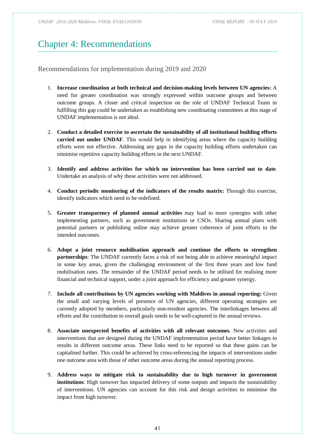*UNDAF 2016-2020 Maldives: FINAL EVALUATION FINAL REPORT – 09 JULY 2019*

# <span id="page-40-0"></span>Chapter 4: Recommendations

<span id="page-40-1"></span>Recommendations for implementation during 2019 and 2020

- 1. **Increase coordination at both technical and decision-making levels between UN agencies:** A need for greater coordination was strongly expressed within outcome groups and between outcome groups. A closer and critical inspection on the role of UNDAF Technical Team in fulfilling this gap could be undertaken as establishing new coordinating committees at this stage of UNDAF implementation is not ideal.
- 2. **Conduct a detailed exercise to ascertain the sustainability of all institutional building efforts carried out under UNDAF**. This would help in identifying areas where the capacity building efforts were not effective. Addressing any gaps in the capacity building efforts undertaken can minimise repetitive capacity building efforts in the next UNDAF.
- 3. **Identify and address activities for which no intervention has been carried out to date**. Undertake an analysis of why these activities were not addressed.
- 4. **Conduct periodic monitoring of the indicators of the results matrix:** Through this exercise, identify indicators which need to be redefined.
- 5. **Greater transparency of planned annual activities** may lead to more synergies with other implementing partners, such as government institutions or CSOs. Sharing annual plans with potential partners or publishing online may achieve greater coherence of joint efforts to the intended outcomes.
- 6. **Adopt a joint resource mobilisation approach and continue the efforts to strengthen partnerships**: The UNDAF currently faces a risk of not being able to achieve meaningful impact in some key areas, given the challenging environment of the first three years and low fund mobilisation rates. The remainder of the UNDAF period needs to be utilised for realising more financial and technical support, under a joint approach for efficiency and greater synergy.
- 7. **Include all contributions by UN agencies working with Maldives in annual reporting:** Given the small and varying levels of presence of UN agencies, different operating strategies are currently adopted by members, particularly non-resident agencies. The interlinkages between all efforts and the contribution to overall goals needs to be well-captured in the annual reviews.
- 8. **Associate unexpected benefits of activities with all relevant outcomes**. New activities and interventions that are designed during the UNDAF implementation period have better linkages to results in different outcome areas. These links need to be reported so that these gains can be capitalised further. This could be achieved by cross-referencing the impacts of interventions under one outcome area with those of other outcome areas during the annual reporting process.
- 9. **Address ways to mitigate risk to sustainability due to high turnover in government institutions**: High turnover has impacted delivery of some outputs and impacts the sustainability of interventions. UN agencies can account for this risk and design activities to minimise the impact from high turnover.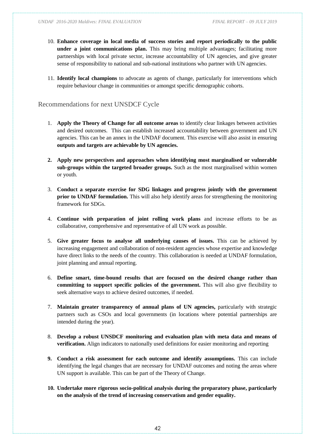- 10. **Enhance coverage in local media of success stories and report periodically to the public under a joint communications plan.** This may bring multiple advantages; facilitating more partnerships with local private sector, increase accountability of UN agencies, and give greater sense of responsibility to national and sub-national institutions who partner with UN agencies.
- 11. **Identify local champions** to advocate as agents of change, particularly for interventions which require behaviour change in communities or amongst specific demographic cohorts.

#### <span id="page-41-0"></span>Recommendations for next UNSDCF Cycle

- 1. **Apply the Theory of Change for all outcome areas** to identify clear linkages between activities and desired outcomes. This can establish increased accountability between government and UN agencies. This can be an annex in the UNDAF document. This exercise will also assist in ensuring **outputs and targets are achievable by UN agencies.**
- **2. Apply new perspectives and approaches when identifying most marginalised or vulnerable sub-groups within the targeted broader groups.** Such as the most marginalised within women or youth.
- 3. **Conduct a separate exercise for SDG linkages and progress jointly with the government prior to UNDAF formulation.** This will also help identify areas for strengthening the monitoring framework for SDGs.
- 4. **Continue with preparation of joint rolling work plans** and increase efforts to be as collaborative, comprehensive and representative of all UN work as possible.
- 5. **Give greater focus to analyse all underlying causes of issues.** This can be achieved by increasing engagement and collaboration of non-resident agencies whose expertise and knowledge have direct links to the needs of the country. This collaboration is needed at UNDAF formulation, joint planning and annual reporting.
- 6. **Define smart, time-bound results that are focused on the desired change rather than committing to support specific policies of the government.** This will also give flexibility to seek alternative ways to achieve desired outcomes, if needed.
- 7. **Maintain greater transparency of annual plans of UN agencies,** particularly with strategic partners such as CSOs and local governments (in locations where potential partnerships are intended during the year).
- 8. **Develop a robust UNSDCF monitoring and evaluation plan with meta data and means of verification.** Align indicators to nationally used definitions for easier monitoring and reporting
- **9. Conduct a risk assessment for each outcome and identify assumptions.** This can include identifying the legal changes that are necessary for UNDAF outcomes and noting the areas where UN support is available. This can be part of the Theory of Change.
- **10. Undertake more rigorous socio-political analysis during the preparatory phase, particularly on the analysis of the trend of increasing conservatism and gender equality.**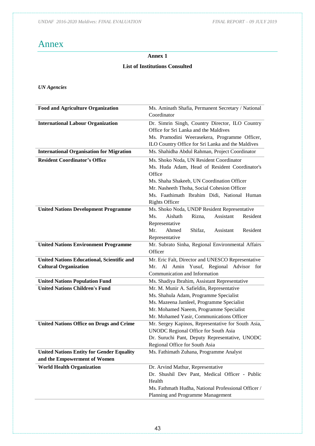*UNDAF 2016-2020 Maldives: FINAL EVALUATION FINAL REPORT – 09 JULY 2019*

# <span id="page-42-0"></span>Annex

## **Annex 1**

### **List of Institutions Consulted**

# *UN Agencies*

| <b>Food and Agriculture Organization</b>          | Ms. Aminath Shafia, Permanent Secretary / National                               |
|---------------------------------------------------|----------------------------------------------------------------------------------|
|                                                   | Coordinator                                                                      |
| <b>International Labour Organization</b>          | Dr. Simrin Singh, Country Director, ILO Country                                  |
|                                                   | Office for Sri Lanka and the Maldives                                            |
|                                                   | Ms. Pramodini Weerasekera, Programme Officer,                                    |
|                                                   | ILO Country Office for Sri Lanka and the Maldives                                |
| <b>International Organisation for Migration</b>   | Ms. Shahidha Abdul Rahman, Project Coordinator                                   |
| <b>Resident Coordinator's Office</b>              | Ms. Shoko Noda, UN Resident Coordinator                                          |
|                                                   | Ms. Huda Adam, Head of Resident Coordinator's                                    |
|                                                   | Office                                                                           |
|                                                   | Ms. Shaha Shakeeb, UN Coordination Officer                                       |
|                                                   | Mr. Nasheeth Thoha, Social Cohesion Officer                                      |
|                                                   | Ms. Faathimath Ibrahim Didi, National Human                                      |
|                                                   | <b>Rights Officer</b>                                                            |
| <b>United Nations Development Programme</b>       | Ms. Shoko Noda, UNDP Resident Representative                                     |
|                                                   | Aishath<br>Ms.<br>Rizna,<br>Assistant<br>Resident                                |
|                                                   | Representative                                                                   |
|                                                   | Mr.<br>Ahmed<br>Resident<br>Shifaz.<br>Assistant                                 |
|                                                   | Representative                                                                   |
| <b>United Nations Environment Programme</b>       | Mr. Subrato Sinha, Regional Environmental Affairs<br>Officer                     |
| <b>United Nations Educational, Scientific and</b> | Mr. Eric Falt, Director and UNESCO Representative                                |
| <b>Cultural Organization</b>                      | Mr. Al Amin Yusuf, Regional Advisor for                                          |
|                                                   | Communication and Information                                                    |
| <b>United Nations Population Fund</b>             | Ms. Shadiya Ibrahim, Assistant Representative                                    |
| <b>United Nations Children's Fund</b>             | Mr. M. Munir A. Safieldin, Representative                                        |
|                                                   | Ms. Shahula Adam, Programme Specialist                                           |
|                                                   | Ms. Mazeena Jamleel, Programme Specialist                                        |
|                                                   | Mr. Mohamed Naeem, Programme Specialist                                          |
|                                                   | Mr. Mohamed Yasir, Communications Officer                                        |
| <b>United Nations Office on Drugs and Crime</b>   | Mr. Sergey Kapinos, Representative for South Asia,                               |
|                                                   | <b>UNODC</b> Regional Office for South Asia                                      |
|                                                   | Dr. Suruchi Pant, Deputy Representative, UNODC<br>Regional Office for South Asia |
| <b>United Nations Entity for Gender Equality</b>  | Ms. Fathimath Zuhana, Programme Analyst                                          |
| and the Empowerment of Women                      |                                                                                  |
| <b>World Health Organization</b>                  | Dr. Arvind Mathur, Representative                                                |
|                                                   | Dr. Shushil Dev Pant, Medical Officer - Public                                   |
|                                                   | Health                                                                           |
|                                                   | Ms. Fathmath Hudha, National Professional Officer /                              |
|                                                   | Planning and Programme Management                                                |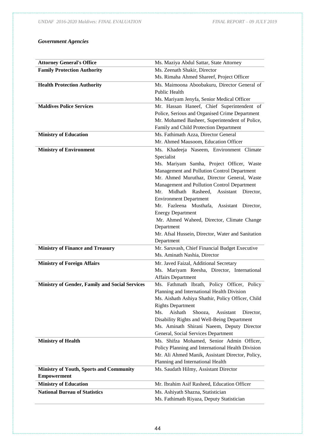## *Government Agencies*

| <b>Attorney General's Office</b>                      |                                                                           |
|-------------------------------------------------------|---------------------------------------------------------------------------|
|                                                       | Ms. Maziya Abdul Sattar, State Attorney                                   |
| <b>Family Protection Authority</b>                    | Ms. Zeenath Shakir, Director<br>Ms. Rimaha Ahmed Shareef, Project Officer |
|                                                       |                                                                           |
| <b>Health Protection Authority</b>                    | Ms. Maimoona Aboobakuru, Director General of                              |
|                                                       | Public Health                                                             |
|                                                       | Ms. Mariyam Jenyfa, Senior Medical Officer                                |
| <b>Maldives Police Services</b>                       | Mr. Hassan Haneef, Chief Superintendent of                                |
|                                                       | Police, Serious and Organised Crime Department                            |
|                                                       | Mr. Mohamed Basheer, Superintendent of Police,                            |
|                                                       | Family and Child Protection Department                                    |
| <b>Ministry of Education</b>                          | Ms. Fathimath Azza, Director General                                      |
|                                                       | Mr. Ahmed Mausoom, Education Officer                                      |
| <b>Ministry of Environment</b>                        | Ms. Khadeeja Naseem, Environment Climate                                  |
|                                                       | Specialist                                                                |
|                                                       | Ms. Mariyam Samha, Project Officer, Waste                                 |
|                                                       | Management and Pollution Control Department                               |
|                                                       | Mr. Ahmed Muruthaz, Director General, Waste                               |
|                                                       | Management and Pollution Control Department                               |
|                                                       | Midhath<br>Rasheed,<br>Assistant Director,<br>Mr.                         |
|                                                       | <b>Environment Department</b>                                             |
|                                                       | Fazleena Musthafa,<br>Mr.<br>Assistant Director,                          |
|                                                       | <b>Energy Department</b>                                                  |
|                                                       | Mr. Ahmed Waheed, Director, Climate Change                                |
|                                                       | Department                                                                |
|                                                       | Mr. Afsal Hussein, Director, Water and Sanitation                         |
|                                                       | Department                                                                |
| <b>Ministry of Finance and Treasury</b>               | Mr. Saruvash, Chief Financial Budget Executive                            |
|                                                       | Ms. Aminath Nashia, Director                                              |
| <b>Ministry of Foreign Affairs</b>                    | Mr. Javed Faizal, Additional Secretary                                    |
|                                                       | Ms. Mariyam Reesha, Director, International                               |
|                                                       | <b>Affairs Department</b>                                                 |
| <b>Ministry of Gender, Family and Social Services</b> | Ms. Fathmath Ibrath, Policy Officer, Policy                               |
|                                                       | Planning and International Health Division                                |
|                                                       | Ms. Aishath Ashiya Shathir, Policy Officer, Child                         |
|                                                       | <b>Rights Department</b>                                                  |
|                                                       | Aishath<br>Ms.<br>Shooza,<br>Assistant<br>Director,                       |
|                                                       | Disability Rights and Well-Being Department                               |
|                                                       | Ms. Aminath Shirani Naeem, Deputy Director                                |
|                                                       | General, Social Services Department                                       |
| <b>Ministry of Health</b>                             | Ms. Shifza Mohamed, Senior Admin Officer,                                 |
|                                                       | Policy Planning and International Health Division                         |
|                                                       | Mr. Ali Ahmed Manik, Assistant Director, Policy,                          |
|                                                       | Planning and International Health                                         |
| <b>Ministry of Youth, Sports and Community</b>        | Ms. Saudath Hilmy, Assistant Director                                     |
| <b>Empowerment</b>                                    |                                                                           |
| <b>Ministry of Education</b>                          | Mr. Ibrahim Asif Rasheed, Education Officer                               |
| <b>National Bureau of Statistics</b>                  |                                                                           |
|                                                       | Ms. Ashiyath Shazna, Statistician                                         |